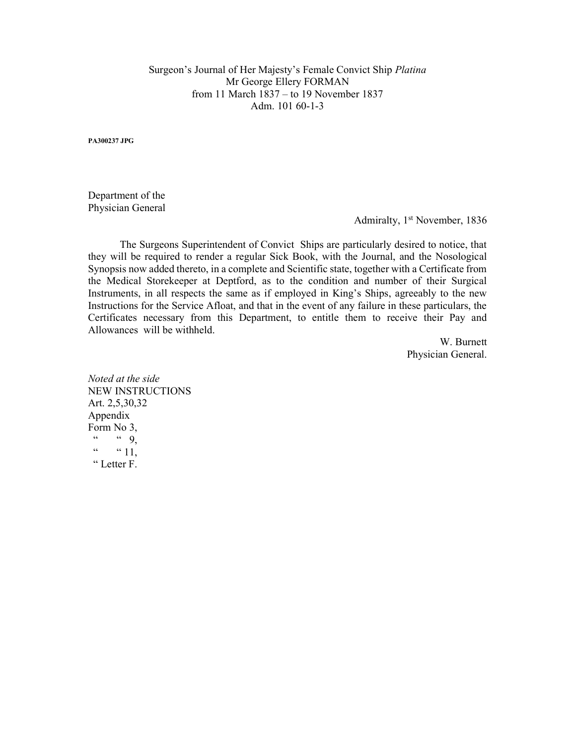Surgeon's Journal of Her Majesty's Female Convict Ship Platina Mr George Ellery FORMAN from 11 March 1837 – to 19 November 1837 Adm. 101 60-1-3

PA300237 JPG

Department of the Physician General

Admiralty, 1st November, 1836

The Surgeons Superintendent of Convict Ships are particularly desired to notice, that they will be required to render a regular Sick Book, with the Journal, and the Nosological Synopsis now added thereto, in a complete and Scientific state, together with a Certificate from the Medical Storekeeper at Deptford, as to the condition and number of their Surgical Instruments, in all respects the same as if employed in King's Ships, agreeably to the new Instructions for the Service Afloat, and that in the event of any failure in these particulars, the Certificates necessary from this Department, to entitle them to receive their Pay and Allowances will be withheld.

> W. Burnett Physician General.

Noted at the side NEW INSTRUCTIONS Art. 2,5,30,32 Appendix Form No 3,  $\begin{array}{ccc} \cdots & \cdots & 9, \\ \cdots & \cdots & 11 \end{array}$  $" 11,$ " Letter F.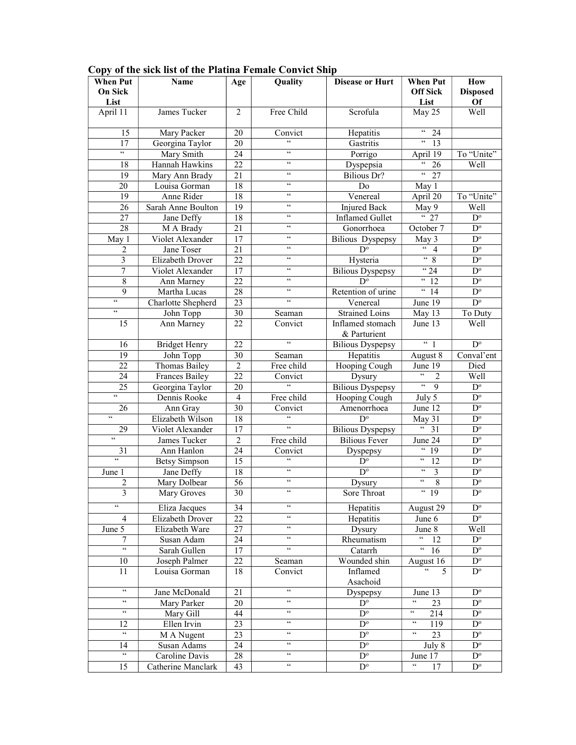| $\cdot$ .                                 |                      |                 |                                            |                         |                                                          |                                     |
|-------------------------------------------|----------------------|-----------------|--------------------------------------------|-------------------------|----------------------------------------------------------|-------------------------------------|
| <b>When Put</b><br><b>On Sick</b><br>List | <b>Name</b>          | Age             | Quality                                    | <b>Disease or Hurt</b>  | <b>When Put</b><br><b>Off Sick</b><br>List               | How<br><b>Disposed</b><br><b>Of</b> |
| April 11                                  | James Tucker         | $\overline{2}$  | Free Child                                 | Scrofula                | May 25                                                   | Well                                |
| 15                                        | Mary Packer          | 20              | Convict                                    | Hepatitis               | $\zeta\,\zeta$<br>24                                     |                                     |
| 17                                        | Georgina Taylor      | 20              | $\epsilon\epsilon$                         | Gastritis               | $\epsilon\,\epsilon$<br>13                               |                                     |
| $66 -$                                    | Mary Smith           | 24              | $\zeta\,\zeta$                             | Porrigo                 | April 19                                                 | To "Unite"                          |
| 18                                        | Hannah Hawkins       | 22              | $\boldsymbol{\zeta} \, \boldsymbol{\zeta}$ | Dyspepsia               | $\epsilon\epsilon$<br>26                                 | Well                                |
| 19                                        | Mary Ann Brady       | 21              | $\zeta\,\zeta$                             | <b>Bilious</b> Dr?      | $\mathfrak{c}\mathfrak{c}$<br>$\overline{27}$            |                                     |
| 20                                        | Louisa Gorman        | 18              | $\epsilon\,\epsilon$                       | Do                      | May 1                                                    |                                     |
| 19                                        | Anne Rider           | 18              | $\zeta\,\zeta$                             | Venereal                | April 20                                                 | To "Unite"                          |
| 26                                        | Sarah Anne Boulton   | $\overline{19}$ | $\boldsymbol{\zeta} \, \boldsymbol{\zeta}$ | <b>Injured Back</b>     | May $\overline{9}$                                       | Well                                |
| 27                                        | Jane Deffy           | 18              | $\zeta\,\zeta$                             | <b>Inflamed Gullet</b>  | $\overline{37}$                                          | $\mathbf{D}^{\text{o}}$             |
| 28                                        | M A Brady            | 21              | $\epsilon\,\epsilon$                       | Gonorrhoea              | October 7                                                | $\mathbf{D}^{\text{o}}$             |
| May 1                                     | Violet Alexander     | 17              | $\zeta\,\zeta$                             | <b>Bilious</b> Dyspepsy | May 3                                                    | $\mathbf{D}^{\text{o}}$             |
| 2                                         | Jane Toser           | 21              | $\zeta\,\zeta$                             | $\mathbf{D}^{\circ}$    | $\overline{\mathfrak{c}}$<br>$\overline{4}$              | $\mathbf{D}^{\text{o}}$             |
| $\mathfrak{Z}$                            | Elizabeth Drover     | 22              | $\zeta\,\zeta$                             | Hysteria                | $\frac{1}{2}$ 8                                          | $\mathbf{D}^{\text{o}}$             |
| $\overline{7}$                            | Violet Alexander     | 17              | $\boldsymbol{\zeta} \, \boldsymbol{\zeta}$ | <b>Bilious Dyspepsy</b> | 424                                                      | $\overline{D^{\circ}}$              |
| $\overline{8}$                            | Ann Marney           | 22              | $\zeta\,\zeta$                             | $D^{\circ}$             | $\sqrt{42}$                                              | $\overline{D^{\circ}}$              |
| 9                                         | Martha Lucas         | $\overline{28}$ | $\boldsymbol{\zeta} \, \boldsymbol{\zeta}$ | Retention of urine      | $\frac{14}{14}$                                          | $\overline{D^{\circ}}$              |
| $\overline{\mathfrak{c}}$                 | Charlotte Shepherd   | $\overline{23}$ | $\mathfrak{c}\mathfrak{c}$                 | Venereal                | June 19                                                  | $D^{\circ}$                         |
| $\mathsf{6}\,\mathsf{6}$                  | John Topp            | $\overline{30}$ | Seaman                                     | <b>Strained Loins</b>   | $\overline{M}$ ay 13                                     | To Duty                             |
| 15                                        | Ann Marney           | 22              | Convict                                    | Inflamed stomach        | June 13                                                  | Well                                |
|                                           |                      |                 |                                            | & Parturient            |                                                          |                                     |
| 16                                        | <b>Bridget Henry</b> | 22              | $\overline{66}$                            | <b>Bilious</b> Dyspepsy | $\overline{1}$                                           | $\mathbf{D}^{\text{o}}$             |
| 19                                        | John Topp            | $\overline{30}$ | Seaman                                     | Hepatitis               | August 8                                                 | Conval'ent                          |
| 22                                        | Thomas Bailey        | $\overline{2}$  | Free child                                 | Hooping Cough           | June 19                                                  | Died                                |
| 24                                        | Frances Bailey       | $\overline{22}$ | Convict                                    | Dysury                  | $\overline{\mathfrak{c}\mathfrak{c}}$<br>$\overline{2}$  | Well                                |
| 25                                        | Georgina Taylor      | 20              | $\epsilon$                                 | <b>Bilious Dyspepsy</b> | $\epsilon\epsilon$<br>$\overline{9}$                     | $\overline{D^{\circ}}$              |
| $\zeta \, \zeta$                          | Dennis Rooke         | $\overline{4}$  | Free child                                 | Hooping Cough           | July 5                                                   | $\mathbf{D}^{\text{o}}$             |
| 26                                        | Ann Gray             | 30              | Convict                                    | Amenorrhoea             | June 12                                                  | $\mathbf{D}^{\text{o}}$             |
| $\epsilon\epsilon$                        | Elizabeth Wilson     | 18              | $\mathfrak{c}\mathfrak{c}$                 | $D^{\circ}$             | May 31                                                   | $\overline{D^{\circ}}$              |
| 29                                        | Violet Alexander     | 17              | $\overline{66}$                            | <b>Bilious</b> Dyspepsy | $\epsilon\,\epsilon$<br>$\overline{31}$                  | $\mathbf{D}^{\text{o}}$             |
| $\epsilon\epsilon$                        | James Tucker         | $\overline{2}$  | Free child                                 | <b>Bilious Fever</b>    | June 24                                                  | $\overline{D^{\circ}}$              |
| 31                                        | Ann Hanlon           | 24              | Convict                                    | Dyspepsy                | (19)                                                     | $\overline{D^{\circ}}$              |
| $\epsilon$                                | <b>Betsy Simpson</b> | $\overline{15}$ | $\mathfrak{c}\mathfrak{c}$                 | $D^{\circ}$             | $\mathfrak{c}\mathfrak{c}$<br>12                         | $\overline{D^{\circ}}$              |
| June 1                                    | Jane Deffy           | 18              | $\mathfrak{c}\mathfrak{c}$                 | $\overline{D^{\circ}}$  | $\overline{\mathfrak{c}\mathfrak{c}}$<br>3               | $\overline{D^o}$                    |
| 2                                         | Mary Dolbear         | $\overline{56}$ | $\zeta\,\zeta$                             | Dysury                  | $\mathfrak{c}\mathfrak{c}$<br>$\overline{8}$             | $\overline{D^{\circ}}$              |
| $\overline{\mathbf{3}}$                   | Mary Groves          | $\overline{30}$ | $\zeta\zeta$                               | Sore Throat             | $66 -$<br>19                                             | $\overline{D^{\circ}}$              |
| $\mathsf{c}\,\mathsf{c}$                  | Eliza Jacques        | 34              | $\zeta\,\zeta$                             | Hepatitis               | August 29                                                | $D^{\circ}$                         |
| 4                                         | Elizabeth Drover     | $\overline{22}$ | $\epsilon\epsilon$                         | Hepatitis               | June $6$                                                 | $D^{\circ}$                         |
| June 5                                    | Elizabeth Ware       | 27              | $\epsilon\epsilon$                         | Dysury                  | June 8                                                   | Well                                |
| 7                                         | Susan Adam           | 24              | $\mathsf{c}\,\mathsf{c}$                   | Rheumatism              | $\mathsf{cc}$<br>$\overline{12}$                         | $D^{\circ}$                         |
| $\mathfrak{c}\mathfrak{c}$                | Sarah Gullen         | 17              | $\zeta\,\zeta$                             | Catarrh                 | $\mathsf{cc}^-$<br>16                                    | $D^{\circ}$                         |
| 10                                        | Joseph Palmer        | 22              | Seaman                                     | Wounded shin            | August 16                                                | $D^{\circ}$                         |
| 11                                        | Louisa Gorman        | 18              | Convict                                    | Inflamed                | $\epsilon\,\epsilon$<br>5                                | $D^{\circ}$                         |
|                                           |                      |                 |                                            | Asachoid                |                                                          |                                     |
| $\overline{\mathfrak{c}}$                 | Jane McDonald        | 21              | $\overline{\mathfrak{c}\mathfrak{c}}$      | Dyspepsy                | June 13                                                  | $\overline{D^{\circ}}$              |
| $\overline{\mathfrak{c}}$                 | Mary Parker          | 20              | $\mathfrak{c}\mathfrak{c}$                 | $D^{\circ}$             | $\overline{\mathfrak{c}\mathfrak{c}}$<br>$\overline{23}$ | $D^{\circ}$                         |
| $\overline{\mathfrak{c}\mathfrak{c}}$     | Mary Gill            | 44              | $\overline{\mathfrak{c}\mathfrak{c}}$      | $D^{\circ}$             | $\epsilon\epsilon$<br>214                                | $D^{\circ}$                         |
| 12                                        | Ellen Irvin          | 23              | $\mathfrak{c}\mathfrak{c}$                 | $\overline{D^{\circ}}$  | $\overline{\mathfrak{c}}$<br>119                         | $\mathbf{D}^{\text{o}}$             |
| $\epsilon\epsilon$                        | M A Nugent           | 23              | $\zeta\,\zeta$                             | $D^{\circ}$             | $\zeta\,\zeta$<br>$\overline{23}$                        | $\mathbf{D}^{\text{o}}$             |
| 14                                        | Susan Adams          | 24              | $\mathfrak{c}\mathfrak{c}$                 | $D^{\circ}$             | July 8                                                   | $D^{\circ}$                         |
| $\mathfrak{c}\mathfrak{c}$                | Caroline Davis       | 28              | $\zeta\,\zeta$                             | $D^{\circ}$             | June 17                                                  | $D^{\circ}$                         |
| 15<br>Catherine Manclark                  |                      | 43              | $\epsilon\epsilon$                         | $D^{\circ}$             | $\epsilon\, \epsilon$<br>17                              | $D^{\circ}$                         |

Copy of the sick list of the Platina Female Convict Ship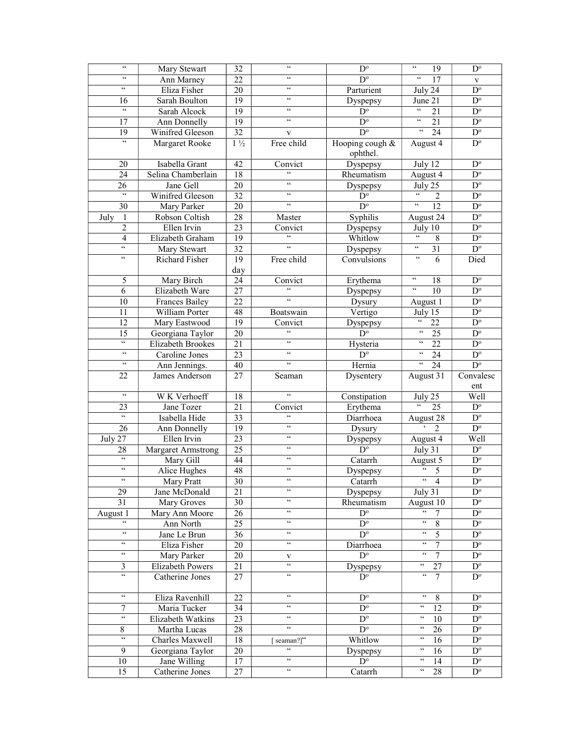| $\zeta \, \zeta$                 | Mary Stewart                    | 32              | $\zeta\,\zeta$                                               | $\mathbf{D}^{\text{o}}$           | $\zeta\,\zeta$<br>19                                              | $D^{\circ}$                |
|----------------------------------|---------------------------------|-----------------|--------------------------------------------------------------|-----------------------------------|-------------------------------------------------------------------|----------------------------|
| $\zeta\,\zeta$                   | Ann Marney                      | 22              | $\zeta\,\zeta$                                               | $D^{\circ}$                       | $\epsilon\epsilon$<br>17                                          | $\mathbf{V}$               |
| $\zeta\,\zeta$                   | Eliza Fisher                    | 20              | $\epsilon\,\epsilon$                                         | Parturient                        | July 24                                                           | $D^{\circ}$                |
| 16                               | Sarah Boulton                   | 19              | $\zeta\,\zeta$                                               | Dyspepsy                          | June 21                                                           | $D^{\circ}$                |
| $\zeta\,\zeta$                   | Sarah Alcock                    | 19              | $\epsilon\,\epsilon$                                         | $D^{\circ}$                       | $\zeta\,\zeta$<br>21                                              | $\mathbf{D}^{\text{o}}$    |
| 17                               | Ann Donnelly                    | 19              | 66                                                           | $\overline{D^{\circ}}$            | $\mathfrak{c}\mathfrak{c}$<br>21                                  | $\mathbf{D}^{\text{o}}$    |
| $\overline{19}$                  | Winifred Gleeson                | 32              | V                                                            | $\overline{D^{\circ}}$            | $\mathfrak{c}\mathfrak{c}$<br>24                                  | $\mathbf{D}^{\text{o}}$    |
| $\mathcal{C}$                    | Margaret Rooke                  | $1\frac{1}{2}$  | Free child                                                   | Hooping cough &                   | August 4                                                          | $\mathbf{D}^{\text{o}}$    |
|                                  |                                 |                 |                                                              | ophthel.                          |                                                                   |                            |
| $20\,$                           | Isabella Grant                  | 42              | Convict                                                      | Dyspepsy                          | July 12                                                           | $D^{\circ}$                |
| 24                               | Selina Chamberlain              | 18              | $\epsilon$                                                   | Rheumatism                        | August 4                                                          | $\mathbf{D}^{\text{o}}$    |
| 26                               | Jane Gell                       | 20              | $\zeta\,\zeta$                                               | Dyspepsy                          | July $25$                                                         | $\mathbf{D}^{\text{o}}$    |
| $\epsilon\,\epsilon$             | Winifred Gleeson                | 32              | $\epsilon\,\epsilon$                                         | $\overline{D^{\circ}}$            | $\overline{\mathfrak{c}\mathfrak{c}}$<br>$\overline{2}$           | $D^{\circ}$                |
| 30                               | Mary Parker                     | 20              | $\zeta\,\zeta$                                               | $D^{\circ}$                       | $\zeta\,\zeta$<br>12                                              | $\mathbf{D}^{\text{o}}$    |
| July<br>$\mathbf{1}$             | Robson Coltish                  | 28              | Master                                                       | Syphilis                          | August 24                                                         | $\mathbf{D}^{\text{o}}$    |
| 2                                | Ellen Irvin                     | 23              | Convict                                                      | Dyspepsy                          | July 10                                                           | $D^{\circ}$                |
| $\overline{4}$                   | Elizabeth Graham                | 19              | $\overline{\mathbf{G}}$                                      | Whitlow                           | $\zeta \, \zeta$<br>8                                             | $\mathbf{D}^{\text{o}}$    |
| $\zeta\,\zeta$                   | Mary Stewart                    | 32              | $\zeta\,\zeta$                                               | Dyspepsy                          | $\zeta\,\zeta$<br>31                                              | $\mathbf{D}^{\text{o}}$    |
| $\zeta\,\zeta$                   | <b>Richard Fisher</b>           | 19              | Free child                                                   | Convulsions                       | $\zeta \, \zeta$<br>6                                             | Died                       |
|                                  |                                 | day             |                                                              |                                   |                                                                   |                            |
| 5                                | Mary Birch                      | 24              | Convict                                                      | Erythema                          | $\zeta\,\zeta$<br>18                                              | $\mathbf{D}^{\text{o}}$    |
| 6                                | Elizabeth Ware                  | 27              | $\mathfrak{c}\mathfrak{c}$                                   | Dyspepsy                          | $\mathfrak{c}\mathfrak{c}$<br>10                                  | $\mathbf{D}^{\text{o}}$    |
| 10                               | Frances Bailey                  | 22              | $\epsilon\epsilon$                                           | Dysury                            | August 1                                                          | $D^{\circ}$                |
| 11                               | William Porter                  | 48              | Boatswain                                                    | Vertigo                           | July 15                                                           | $D^{\circ}$                |
| 12                               | Mary Eastwood                   | 19              | Convict                                                      | Dyspepsy                          | $\boldsymbol{\varsigma} \, \boldsymbol{\varsigma}$<br>22          | $\mathbf{D}^{\text{o}}$    |
| 15                               | Georgiana Taylor                | 20              | $\zeta\,\zeta$                                               | $D^{\circ}$                       | $\zeta\,\zeta$<br>25                                              | $\mathbf{D}^{\text{o}}$    |
| $\epsilon$                       | <b>Elizabeth Brookes</b>        | 21              | $\epsilon\,\epsilon$                                         | Hysteria                          | $\overline{22}$<br>$\epsilon\epsilon$                             | $D^{\circ}$                |
| $\zeta\,\zeta$                   | Caroline Jones                  | 23              | $\epsilon\,\epsilon$                                         | $D^{\circ}$                       | $\zeta\,\zeta$<br>24                                              | $D^{\circ}$                |
| $\zeta \, \zeta$                 | Ann Jennings.                   | 40              | $\zeta\,\zeta$                                               | Hernia                            | $\zeta\,\zeta$<br>24                                              | $\mathbf{D}^{\text{o}}$    |
|                                  |                                 |                 |                                                              |                                   |                                                                   |                            |
|                                  |                                 |                 |                                                              |                                   |                                                                   |                            |
| 22                               | James Anderson                  | 27              | Seaman                                                       | Dysentery                         | August 31                                                         | Convalesc                  |
| $\mathfrak{c}\mathfrak{c}$       |                                 |                 | $\mathfrak{c}\mathfrak{c}$                                   |                                   |                                                                   | ent                        |
|                                  | W K Verhoeff                    | $\overline{18}$ |                                                              | Constipation                      | July 25                                                           | Well                       |
| 23<br>$\overline{66}$            | Jane Tozer                      | 21              | Convict<br>$\mathfrak{c}\mathfrak{c}$                        | Erythema                          | $\overline{\mathfrak{c}\mathfrak{c}}$<br>25                       | $D^{\circ}$                |
|                                  | Isabella Hide                   | 33              | $\zeta\,\zeta$                                               | Diarrhoea                         | August 28                                                         | $\overline{D^{\circ}}$     |
| 26                               | Ann Donnelly                    | 19              | $\epsilon\,\epsilon$                                         | Dysury                            | $\mathfrak{D}_{1}$                                                | $\overline{D^{\circ}}$     |
| July 27                          | Ellen Irvin                     | $\overline{23}$ | $\zeta\,\zeta$                                               | Dyspepsy                          | August 4                                                          | Well                       |
| 28                               | <b>Margaret Armstrong</b>       | $\overline{25}$ |                                                              | $D^{\circ}$                       | July 31                                                           | $\mathbf{D}^{\text{o}}$    |
| $\zeta\,\zeta$                   | Mary Gill                       | 44              | $\epsilon\,\epsilon$                                         | Catarrh                           | August 5                                                          | $\mathbf{D}^{\text{o}}$    |
| $\zeta\,\zeta$<br>$\zeta\,\zeta$ | Alice Hughes                    | 48              | $\zeta\,\zeta$                                               | Dyspepsy                          | $\mathsf{c}\,\mathsf{c}$<br>$\sqrt{5}$                            | $\mathbf{D}^{\text{o}}$    |
|                                  | Mary Pratt                      | 30              | $\boldsymbol{\zeta} \, \boldsymbol{\zeta}$                   | Catarrh                           | $\overline{4}$<br>$\epsilon\epsilon$                              | $\overline{D^{\circ}}$     |
| 29                               | Jane McDonald                   | 21              | $\zeta\,\zeta$                                               | Dyspepsy                          | July 31                                                           | $D^{\circ}$                |
| $\overline{31}$                  | Mary Groves                     | $\overline{30}$ | $\mathfrak{c}\mathfrak{c}$                                   | Rheumatism                        | August 10                                                         | $D^{\circ}$                |
| August 1                         | Mary Ann Moore                  | 26              | $\mathfrak{c}\mathfrak{c}$                                   | $D^{\circ}$                       | $\epsilon$ $\epsilon$<br>7                                        | $\mathbf{D}^{\text{o}}$    |
| $\mathfrak{c}\mathfrak{c}$       | Ann North                       | $\overline{25}$ | $\mathfrak{c}\mathfrak{c}$                                   | $\overline{D^{\circ}}$            | $\epsilon\epsilon$<br>$\overline{8}$                              | $\mathbf{D}^{\text{o}}$    |
| $\zeta\,\zeta$                   | Jane Le Brun                    | 36              | $\mathfrak{c}\mathfrak{c}$                                   | $D^{\circ}$                       | $\epsilon\,\epsilon$<br>5                                         | $D^{\circ}$                |
| $\zeta\,\zeta$                   | Eliza Fisher                    | 20              | $\mathfrak{c}\mathfrak{c}$                                   | Diarrhoea                         | $\mathfrak{c}\mathfrak{c}$<br>7                                   | $D^{\circ}$                |
| $\zeta\,\zeta$                   | Mary Parker                     | 20              | V                                                            | $D^{\circ}$                       | $\,$ 6 $\,$<br>7                                                  | $D^{\circ}$                |
| 3                                | <b>Elizabeth Powers</b>         | 21              | $\epsilon\epsilon$                                           | Dyspepsy                          | $\mathsf{c}\,\mathsf{c}$<br>27                                    | $\mathbf{D}^{\text{o}}$    |
| $\zeta\,\zeta$                   | Catherine Jones                 | 27              | $\boldsymbol{\zeta} \, \boldsymbol{\zeta}$                   | $\overline{D^o}$                  | $\boldsymbol{\varsigma} \boldsymbol{\varsigma}$<br>$\overline{7}$ | $D^{\circ}$                |
|                                  |                                 |                 |                                                              |                                   |                                                                   |                            |
| $\overline{\mathfrak{c}}$        | Eliza Ravenhill                 | 22              | $\boldsymbol{\zeta} \, \boldsymbol{\zeta}$                   | $D^{\circ}$                       | $\boldsymbol{\varsigma} \boldsymbol{\varsigma}$<br>8              | $D^{\circ}$                |
| $\overline{7}$                   | Maria Tucker                    | 34              | $\mathfrak{c}\mathfrak{c}$                                   | $D^{\circ}$                       | $\mathsf{c}\,\mathsf{c}$<br>$\overline{12}$                       | $D^{\circ}$                |
| $\zeta\,\zeta$                   | Elizabeth Watkins               | 23              | $\zeta\,\zeta$                                               | $D^{\circ}$                       | $\zeta\,\zeta$<br>10                                              | $D^{\circ}$                |
| 8                                | Martha Lucas                    | 28              | $\zeta\,\zeta$                                               | $D^{\circ}$                       | $\mathfrak{c}\mathfrak{c}$<br>26                                  | $D^{\circ}$                |
| $\zeta\,\zeta$                   | Charles Maxwell                 | 18              | seaman?]"                                                    | Whitlow                           | $\zeta\,\zeta$<br>16                                              | $D^{\circ}$                |
| $\overline{9}$                   | Georgiana Taylor                | $20\,$          | $\zeta\,\zeta$                                               | Dyspepsy                          | $\zeta\,\zeta$<br>16                                              | $D^{\circ}$                |
| 10<br>15                         | Jane Willing<br>Catherine Jones | 17<br>27        | $\boldsymbol{\zeta} \, \boldsymbol{\zeta}$<br>$\zeta\,\zeta$ | $\overline{D^{\circ}}$<br>Catarrh | $\zeta\,\zeta$<br>14<br>28<br>$\mathfrak{c}\mathfrak{c}$          | $D^{\rm o}$<br>$D^{\circ}$ |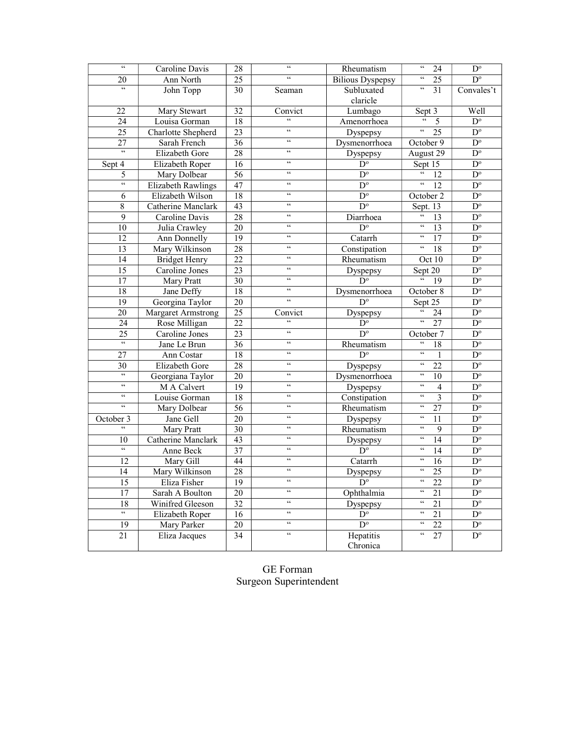| $\zeta\,\zeta$             | Caroline Davis            | 28              | $\zeta\,\zeta$                        | Rheumatism              | $\zeta\,\zeta$<br>$\overline{2}4$                                          | $\mathbf{D}^{\text{o}}$ |
|----------------------------|---------------------------|-----------------|---------------------------------------|-------------------------|----------------------------------------------------------------------------|-------------------------|
| 20                         | Ann North                 | 25              | $\epsilon$                            | <b>Bilious</b> Dyspepsy | $\boldsymbol{\varsigma}$<br>25                                             | $\overline{D}^{\circ}$  |
| $\mathfrak{c}\mathfrak{c}$ | John Topp                 | 30              | Seaman                                | Subluxated              | $\zeta \, \zeta$<br>31                                                     | Convales't              |
|                            |                           |                 |                                       | claricle                |                                                                            |                         |
| 22                         | Mary Stewart              | 32              | Convict                               | Lumbago                 | Sept 3                                                                     | Well                    |
| 24                         | Louisa Gorman             | 18              | $\epsilon\epsilon$                    | Amenorrhoea             | 5                                                                          | $D^{\circ}$             |
| $\overline{25}$            | Charlotte Shepherd        | 23              | $\overline{\mathcal{L}}$              | Dyspepsy                | $\epsilon\,\epsilon$<br>$\overline{25}$                                    | $D^{\circ}$             |
| $\overline{27}$            | Sarah French              | 36              | $\zeta\,\zeta$                        | Dysmenorrhoea           | October 9                                                                  | $D^{\circ}$             |
| $\epsilon$                 | Elizabeth Gore            | 28              | $\zeta\,\zeta$                        | Dyspepsy                | August 29                                                                  | $D^{\circ}$             |
| Sept 4                     | Elizabeth Roper           | 16              | $\zeta\,\zeta$                        | $D^{\circ}$             | Sept 15                                                                    | $D^{\circ}$             |
| 5                          | Mary Dolbear              | 56              | $\zeta\,\zeta$                        | $D^{\circ}$             | $\zeta\,\zeta$<br>12                                                       | $D^{\circ}$             |
| $\boldsymbol{\varsigma}$   | Elizabeth Rawlings        | 47              | $\epsilon\epsilon$                    | $D^{\circ}$             | $\overline{\mathfrak{c}\mathfrak{c}}$<br>$\overline{12}$                   | $D^{\circ}$             |
| 6                          | Elizabeth Wilson          | 18              | $\epsilon\epsilon$                    | $D^{\circ}$             | October 2                                                                  | $D^{\circ}$             |
| 8                          | Catherine Manclark        | 43              | $\zeta \, \zeta$                      | $D^{\circ}$             | Sept. 13                                                                   | $\mathbf{D}^{\text{o}}$ |
| 9                          | Caroline Davis            | 28              | $\epsilon$                            | Diarrhoea               | $\overline{\mathfrak{c}}$<br>13                                            | $D^{\circ}$             |
| $\overline{10}$            | Julia Crawley             | $\overline{20}$ | $\zeta\,\zeta$                        | $D^{\circ}$             | $\zeta\,\zeta$<br>$\overline{13}$                                          | $D^{\circ}$             |
| 12                         | Ann Donnelly              | 19              | $\epsilon$                            | Catarrh                 | $\mathfrak{c}\mathfrak{c}$<br>17                                           | $\mathbf{D}^{\text{o}}$ |
| 13                         | Mary Wilkinson            | 28              | $\zeta\,\zeta$                        | Constipation            | $\zeta\,\zeta$<br>18                                                       | $D^{\circ}$             |
| 14                         | <b>Bridget Henry</b>      | 22              | $\overline{\mathbf{G}}$               | Rheumatism              | Oct 10                                                                     | $\mathbf{D}^{\text{o}}$ |
| $\overline{15}$            | Caroline Jones            | 23              | $\zeta\,\zeta$                        | Dyspepsy                | Sept 20                                                                    | $D^{\circ}$             |
| 17                         | Mary Pratt                | 30              | $\zeta\zeta$                          | $\overline{D^{\circ}}$  | $\mathfrak{c}\mathfrak{c}$<br>$\overline{19}$                              | $D^{\circ}$             |
| 18                         | Jane Deffy                | 18              | $\zeta\,\zeta$                        | Dysmenorrhoea           | October 8                                                                  | $\mathbf{D}^{\text{o}}$ |
| 19                         | Georgina Taylor           | 20              | $\overline{\mathfrak{c}\mathfrak{c}}$ | $D^{\circ}$             | Sept 25                                                                    | $D^{\circ}$             |
| $\overline{20}$            | <b>Margaret Armstrong</b> | $\overline{25}$ | Convict                               | Dyspepsy                | $\epsilon\epsilon$<br>$\overline{24}$                                      | $\mathbf{D}^{\text{o}}$ |
| 24                         | Rose Milligan             | 22              | $\zeta\zeta$                          | $D^{\circ}$             | $\overline{\mathfrak{c}\mathfrak{c}}$<br>27                                | $\mathbf{D}^{\text{o}}$ |
| 25                         | Caroline Jones            | 23              | $\zeta\,\zeta$                        | $\overline{D^{\circ}}$  | October 7                                                                  | $D^{\circ}$             |
| $\overline{66}$            | Jane Le Brun              | 36              | $\overline{\mathbf{G}}$               | Rheumatism              | $\overline{\mathfrak{c}\mathfrak{c}}$<br>18                                | $D^{\circ}$             |
| $\overline{27}$            | Ann Costar                | 18              | $\zeta\,\zeta$                        | $D^{\circ}$             | $\mathfrak{c}\mathfrak{c}$<br>$\mathbf{1}$                                 | $D^{\circ}$             |
| 30                         | Elizabeth Gore            | 28              | $\overline{\mathfrak{c}}$             | Dyspepsy                | $\epsilon$<br>22                                                           | $D^{\circ}$             |
| $\overline{66}$            | Georgiana Taylor          | 20              | $\zeta\,\zeta$                        | Dysmenorrhoea           | $\mathfrak{c}\mathfrak{c}$<br>10                                           | $D^{\circ}$             |
| $\zeta\,\zeta$             | M A Calvert               | 19              | $\zeta\,\zeta$                        | Dyspepsy                | $\overline{\mathfrak{c}\mathfrak{c}}$<br>$\overline{4}$                    | $D^{\circ}$             |
| $\epsilon$                 | Louise Gorman             | 18              | $\zeta\,\zeta$                        | Constipation            | $\boldsymbol{\varsigma} \boldsymbol{\varsigma}$<br>$\overline{\mathbf{3}}$ | $D^{\circ}$             |
| $\zeta\zeta$               | Mary Dolbear              | 56              | $\zeta\zeta$                          | Rheumatism              | $\mathfrak{c}\mathfrak{c}$<br>27                                           | $D^{\circ}$             |
| October 3                  | Jane Gell                 | 20              | $\zeta\,\zeta$                        | Dyspepsy                | $\boldsymbol{\varsigma}\,\boldsymbol{\varsigma}$<br>11                     | $D^{\circ}$             |
| $\epsilon$                 | <b>Mary Pratt</b>         | 30              | $\epsilon\epsilon$                    | Rheumatism              | $\zeta\zeta$<br>9                                                          | $D^{\circ}$             |
| 10                         | Catherine Manclark        | 43              | $\zeta\,\zeta$                        | Dyspepsy                | $\epsilon\,\epsilon$<br>14                                                 | $D^{\circ}$             |
| $\overline{66}$            | Anne Beck                 | 37              | $\zeta\,\zeta$                        | $D^{\circ}$             | $\mathfrak{c}\mathfrak{c}$<br>14                                           | $D^{\circ}$             |
| 12                         | Mary Gill                 | 44              | $\zeta\,\zeta$                        | Catarrh                 | $\mathcal{C}$<br>16                                                        | $\mathbf{D}^{\text{o}}$ |
| 14                         | Mary Wilkinson            | 28              | $\zeta\,\zeta$                        | Dyspepsy                | $\zeta\,\zeta$<br>25                                                       | $D^{\circ}$             |
| $\overline{15}$            | Eliza Fisher              | 19              | $\epsilon$                            | $\overline{D^{\circ}}$  | $\boldsymbol{\zeta} \, \boldsymbol{\zeta}$<br>22                           | $\mathbf{D}^{\text{o}}$ |
| 17                         | Sarah A Boulton           | 20              | $\boldsymbol{\varsigma}$              | Ophthalmia              | $\mathfrak{c}\mathfrak{c}$<br>$\overline{21}$                              | $D^{\circ}$             |
| 18                         | Winifred Gleeson          | 32              | $\epsilon\,\epsilon$                  | Dyspepsy                | $\mathfrak{c}\mathfrak{c}$<br>21                                           | $D^{\circ}$             |
| $\overline{66}$            | Elizabeth Roper           | $\overline{16}$ | $\zeta\,\zeta$                        | $D^{\circ}$             | $\mathfrak{c}\mathfrak{c}$<br>21                                           | $D^{\circ}$             |
| 19                         | Mary Parker               | 20              | $\epsilon\epsilon$                    | $D^{\circ}$             | $\mathfrak{c}\mathfrak{c}$<br>$\overline{22}$                              | $D^{\circ}$             |
| 21                         | Eliza Jacques             | 34              | $\zeta\,\zeta$                        | Hepatitis               | $\zeta\,\zeta$<br>27                                                       | $D^{\circ}$             |
|                            |                           |                 |                                       | Chronica                |                                                                            |                         |

GE Forman Surgeon Superintendent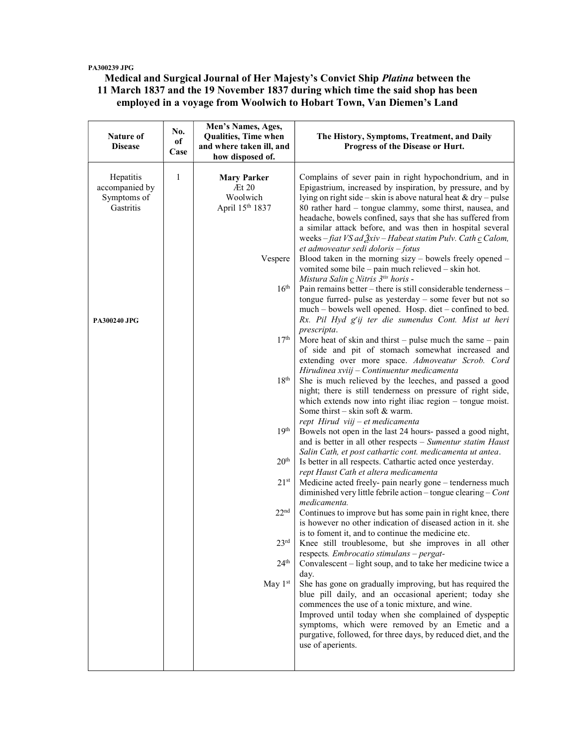## PA300239 JPG

# Medical and Surgical Journal of Her Majesty's Convict Ship Platina between the 11 March 1837 and the 19 November 1837 during which time the said shop has been employed in a voyage from Woolwich to Hobart Town, Van Diemen's Land

| Nature of<br><b>Disease</b>                             | No.<br>of<br>Case | Men's Names, Ages,<br>Qualities, Time when<br>and where taken ill, and<br>how disposed of. | The History, Symptoms, Treatment, and Daily<br>Progress of the Disease or Hurt.                                                                                                                                                                                                                                                                                                                                                                                   |
|---------------------------------------------------------|-------------------|--------------------------------------------------------------------------------------------|-------------------------------------------------------------------------------------------------------------------------------------------------------------------------------------------------------------------------------------------------------------------------------------------------------------------------------------------------------------------------------------------------------------------------------------------------------------------|
| Hepatitis<br>accompanied by<br>Symptoms of<br>Gastritis | 1                 | <b>Mary Parker</b><br>At 20<br>Woolwich<br>April 15th 1837                                 | Complains of sever pain in right hypochondrium, and in<br>Epigastrium, increased by inspiration, by pressure, and by<br>lying on right side – skin is above natural heat & dry – pulse<br>80 rather hard – tongue clammy, some thirst, nausea, and<br>headache, bowels confined, says that she has suffered from<br>a similar attack before, and was then in hospital several<br>weeks-fiat VS ad $\frac{3}{2}$ xiv-Habeat statim Pulv. Cath $\frac{c}{2}$ Calom, |
|                                                         |                   | Vespere                                                                                    | et admoveatur sedi doloris - fotus<br>Blood taken in the morning sizy – bowels freely opened –<br>vomited some bile – pain much relieved – skin hot.<br>Mistura Salin c Nitris 3tis horis -                                                                                                                                                                                                                                                                       |
| <b>PA300240 JPG</b>                                     |                   | 16 <sup>th</sup>                                                                           | Pain remains better – there is still considerable tenderness –<br>tongue furred- pulse as yesterday - some fever but not so<br>much – bowels well opened. Hosp. diet – confined to bed.<br>Rx. Pil Hyd g'ij ter die sumendus Cont. Mist ut heri<br>prescripta.                                                                                                                                                                                                    |
|                                                         |                   | 17 <sup>th</sup>                                                                           | More heat of skin and thirst – pulse much the same – pain<br>of side and pit of stomach somewhat increased and<br>extending over more space. Admoveatur Scrob. Cord<br>Hirudinea xviij - Continuentur medicamenta                                                                                                                                                                                                                                                 |
|                                                         |                   | 18 <sup>th</sup>                                                                           | She is much relieved by the leeches, and passed a good<br>night; there is still tenderness on pressure of right side,<br>which extends now into right iliac region - tongue moist.<br>Some thirst – skin soft $&$ warm.<br>rept Hirud viij - et medicamenta                                                                                                                                                                                                       |
|                                                         |                   | 19 <sup>th</sup>                                                                           | Bowels not open in the last 24 hours- passed a good night,<br>and is better in all other respects - Sumentur statim Haust<br>Salin Cath, et post cathartic cont. medicamenta ut antea.                                                                                                                                                                                                                                                                            |
|                                                         |                   | 20 <sup>th</sup>                                                                           | Is better in all respects. Cathartic acted once yesterday.<br>rept Haust Cath et altera medicamenta                                                                                                                                                                                                                                                                                                                                                               |
|                                                         |                   | 21 <sup>st</sup>                                                                           | Medicine acted freely- pain nearly gone - tenderness much<br>diminished very little febrile action - tongue clearing - $Cont$<br>medicamenta.                                                                                                                                                                                                                                                                                                                     |
|                                                         |                   | 22 <sup>nd</sup>                                                                           | Continues to improve but has some pain in right knee, there<br>is however no other indication of diseased action in it. she<br>is to foment it, and to continue the medicine etc.                                                                                                                                                                                                                                                                                 |
|                                                         |                   | 23 <sup>rd</sup>                                                                           | Knee still troublesome, but she improves in all other<br>respects. Embrocatio stimulans - pergat-                                                                                                                                                                                                                                                                                                                                                                 |
|                                                         |                   | 24 <sup>th</sup>                                                                           | Convalescent – light soup, and to take her medicine twice a<br>day.                                                                                                                                                                                                                                                                                                                                                                                               |
|                                                         |                   | May 1st                                                                                    | She has gone on gradually improving, but has required the<br>blue pill daily, and an occasional aperient; today she<br>commences the use of a tonic mixture, and wine.<br>Improved until today when she complained of dyspeptic<br>symptoms, which were removed by an Emetic and a<br>purgative, followed, for three days, by reduced diet, and the<br>use of aperients.                                                                                          |
|                                                         |                   |                                                                                            |                                                                                                                                                                                                                                                                                                                                                                                                                                                                   |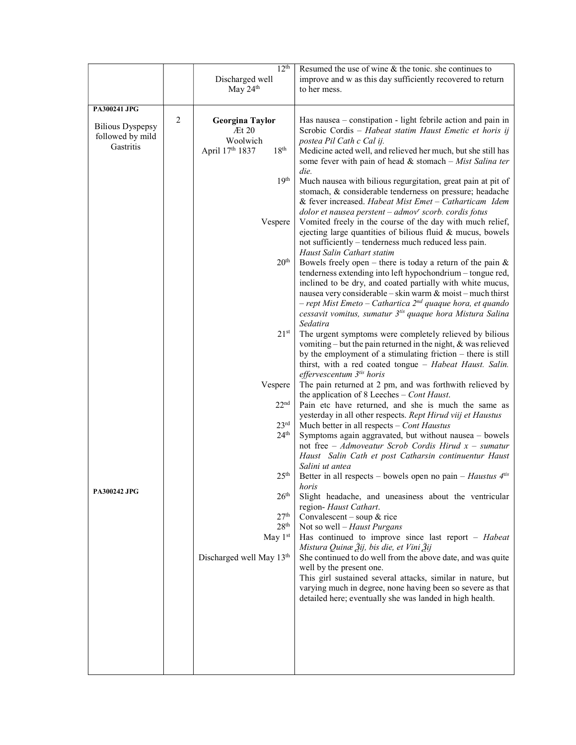|                                                                          |                | 12 <sup>th</sup><br>Discharged well<br>May 24 <sup>th</sup>                                                                    | Resumed the use of wine & the tonic. she continues to<br>improve and w as this day sufficiently recovered to return<br>to her mess.                                                                                                                                                                                                                                                                                                                                                                                                                                                                               |
|--------------------------------------------------------------------------|----------------|--------------------------------------------------------------------------------------------------------------------------------|-------------------------------------------------------------------------------------------------------------------------------------------------------------------------------------------------------------------------------------------------------------------------------------------------------------------------------------------------------------------------------------------------------------------------------------------------------------------------------------------------------------------------------------------------------------------------------------------------------------------|
|                                                                          |                |                                                                                                                                |                                                                                                                                                                                                                                                                                                                                                                                                                                                                                                                                                                                                                   |
| PA300241 JPG<br><b>Bilious Dyspepsy</b><br>followed by mild<br>Gastritis | $\overline{2}$ | <b>Georgina Taylor</b><br>At 20<br>Woolwich<br>18 <sup>th</sup><br>April 17th 1837                                             | Has nausea – constipation - light febrile action and pain in<br>Scrobic Cordis - Habeat statim Haust Emetic et horis ij<br>postea Pil Cath c Cal ij.<br>Medicine acted well, and relieved her much, but she still has<br>some fever with pain of head & stomach $-$ Mist Salina ter<br>die.                                                                                                                                                                                                                                                                                                                       |
|                                                                          |                | $19^{\rm th}$<br>Vespere                                                                                                       | Much nausea with bilious regurgitation, great pain at pit of<br>stomach, & considerable tenderness on pressure; headache<br>& fever increased. Habeat Mist Emet - Catharticam Idem<br>$\mu$ dolor et nausea perstent – admov' scorb. cordis fotus<br>Vomited freely in the course of the day with much relief,<br>ejecting large quantities of bilious fluid & mucus, bowels                                                                                                                                                                                                                                      |
|                                                                          |                | 20 <sup>th</sup>                                                                                                               | not sufficiently - tenderness much reduced less pain.<br>Haust Salin Cathart statim<br>Bowels freely open – there is today a return of the pain $\&$<br>tenderness extending into left hypochondrium - tongue red,<br>inclined to be dry, and coated partially with white mucus,<br>nausea very considerable – skin warm & moist – much thirst<br>- rept Mist Emeto - Cathartica $2^{nd}$ quaque hora, et quando                                                                                                                                                                                                  |
|                                                                          |                | 21 <sup>st</sup>                                                                                                               | cessavit vomitus, sumatur 3 <sup>tis</sup> quaque hora Mistura Salina<br>Sedatira<br>The urgent symptoms were completely relieved by bilious<br>vomiting – but the pain returned in the night, $\&$ was relieved<br>by the employment of a stimulating friction – there is still<br>thirst, with a red coated tongue - Habeat Haust. Salin.<br>effervescentum 3tis horis                                                                                                                                                                                                                                          |
|                                                                          |                | Vespere<br>22 <sup>nd</sup><br>23 <sup>rd</sup><br>24 <sup>th</sup>                                                            | The pain returned at 2 pm, and was forthwith relieved by<br>the application of 8 Leeches $-$ Cont Haust.<br>Pain etc have returned, and she is much the same as<br>yesterday in all other respects. Rept Hirud viij et Haustus<br>Much better in all respects - Cont Haustus<br>Symptoms again aggravated, but without nausea - bowels<br>not free – Admoveatur Scrob Cordis Hirud $x$ – sumatur<br>Haust Salin Cath et post Catharsin continuentur Haust<br>Salini ut antea                                                                                                                                      |
| PA300242 JPG                                                             |                | $25^{\rm th}$<br>26 <sup>th</sup><br>27 <sup>th</sup><br>28 <sup>th</sup><br>May $1st$<br>Discharged well May 13 <sup>th</sup> | Better in all respects – bowels open no pain – Haustus $4^{iis}$<br>horis<br>Slight headache, and uneasiness about the ventricular<br>region- Haust Cathart.<br>Convalescent – soup $&$ rice<br>Not so well - Haust Purgans<br>Has continued to improve since last report - Habeat<br>Mistura Quinæ Žij, bis die, et Vini Žij<br>She continued to do well from the above date, and was quite<br>well by the present one.<br>This girl sustained several attacks, similar in nature, but<br>varying much in degree, none having been so severe as that<br>detailed here; eventually she was landed in high health. |
|                                                                          |                |                                                                                                                                |                                                                                                                                                                                                                                                                                                                                                                                                                                                                                                                                                                                                                   |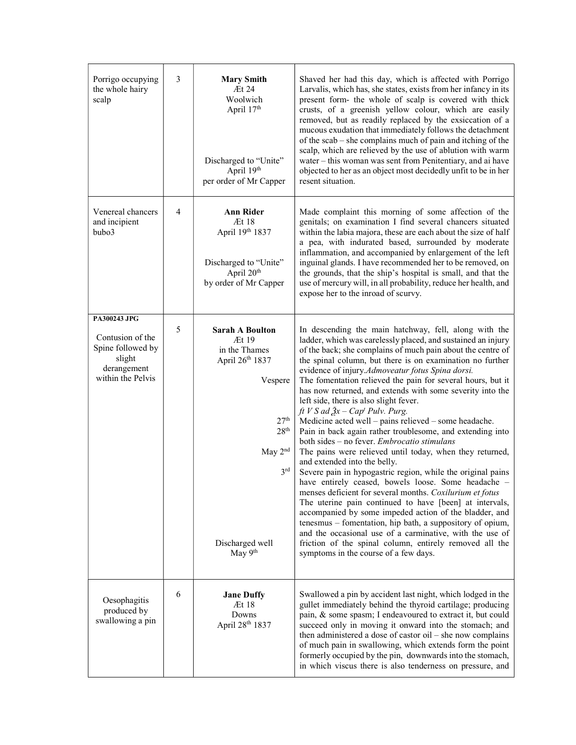| Porrigo occupying<br>the whole hairy<br>scalp                                                       | 3              | <b>Mary Smith</b><br>Æt 24<br>Woolwich<br>April 17th<br>Discharged to "Unite"<br>April 19th<br>per order of Mr Capper                                                                          | Shaved her had this day, which is affected with Porrigo<br>Larvalis, which has, she states, exists from her infancy in its<br>present form- the whole of scalp is covered with thick<br>crusts, of a greenish yellow colour, which are easily<br>removed, but as readily replaced by the exsiccation of a<br>mucous exudation that immediately follows the detachment<br>of the scab – she complains much of pain and itching of the<br>scalp, which are relieved by the use of ablution with warm<br>water - this woman was sent from Penitentiary, and ai have<br>objected to her as an object most decidedly unfit to be in her<br>resent situation.                                                                                                                                                                                                                                                                                                                                                                                                                                                                                                                                                                                                                                                                                   |
|-----------------------------------------------------------------------------------------------------|----------------|------------------------------------------------------------------------------------------------------------------------------------------------------------------------------------------------|-------------------------------------------------------------------------------------------------------------------------------------------------------------------------------------------------------------------------------------------------------------------------------------------------------------------------------------------------------------------------------------------------------------------------------------------------------------------------------------------------------------------------------------------------------------------------------------------------------------------------------------------------------------------------------------------------------------------------------------------------------------------------------------------------------------------------------------------------------------------------------------------------------------------------------------------------------------------------------------------------------------------------------------------------------------------------------------------------------------------------------------------------------------------------------------------------------------------------------------------------------------------------------------------------------------------------------------------|
| Venereal chancers<br>and incipient<br>bubo3                                                         | $\overline{4}$ | <b>Ann Rider</b><br>At 18<br>April 19th 1837<br>Discharged to "Unite"<br>April 20 <sup>th</sup><br>by order of Mr Capper                                                                       | Made complaint this morning of some affection of the<br>genitals; on examination I find several chancers situated<br>within the labia majora, these are each about the size of half<br>a pea, with indurated based, surrounded by moderate<br>inflammation, and accompanied by enlargement of the left<br>inguinal glands. I have recommended her to be removed, on<br>the grounds, that the ship's hospital is small, and that the<br>use of mercury will, in all probability, reduce her health, and<br>expose her to the inroad of scurvy.                                                                                                                                                                                                                                                                                                                                                                                                                                                                                                                                                                                                                                                                                                                                                                                             |
| PA300243 JPG<br>Contusion of the<br>Spine followed by<br>slight<br>derangement<br>within the Pelvis | 5              | <b>Sarah A Boulton</b><br>Æt 19<br>in the Thames<br>April 26th 1837<br>Vespere<br>27 <sup>th</sup><br>28 <sup>th</sup><br>May 2 <sup>nd</sup><br>3 <sup>rd</sup><br>Discharged well<br>May 9th | In descending the main hatchway, fell, along with the<br>ladder, which was carelessly placed, and sustained an injury<br>of the back; she complains of much pain about the centre of<br>the spinal column, but there is on examination no further<br>evidence of injury.Admoveatur fotus Spina dorsi.<br>The fomentation relieved the pain for several hours, but it<br>has now returned, and extends with some severity into the<br>left side, there is also slight fever.<br>ft V S ad $\tilde{A}x$ – Cap <sup>t</sup> Pulv. Purg.<br>Medicine acted well - pains relieved - some headache.<br>Pain in back again rather troublesome, and extending into<br>both sides - no fever. Embrocatio stimulans<br>The pains were relieved until today, when they returned,<br>and extended into the belly.<br>Severe pain in hypogastric region, while the original pains<br>have entirely ceased, bowels loose. Some headache -<br>menses deficient for several months. Coxilurium et fotus<br>The uterine pain continued to have [been] at intervals,<br>accompanied by some impeded action of the bladder, and<br>tenesmus – fomentation, hip bath, a suppository of opium,<br>and the occasional use of a carminative, with the use of<br>friction of the spinal column, entirely removed all the<br>symptoms in the course of a few days. |
| Oesophagitis<br>produced by<br>swallowing a pin                                                     | 6              | <b>Jane Duffy</b><br>At 18<br>Downs<br>April 28th 1837                                                                                                                                         | Swallowed a pin by accident last night, which lodged in the<br>gullet immediately behind the thyroid cartilage; producing<br>pain, & some spasm; I endeavoured to extract it, but could<br>succeed only in moving it onward into the stomach; and<br>then administered a dose of castor oil $-$ she now complains<br>of much pain in swallowing, which extends form the point<br>formerly occupied by the pin, downwards into the stomach,<br>in which viscus there is also tenderness on pressure, and                                                                                                                                                                                                                                                                                                                                                                                                                                                                                                                                                                                                                                                                                                                                                                                                                                   |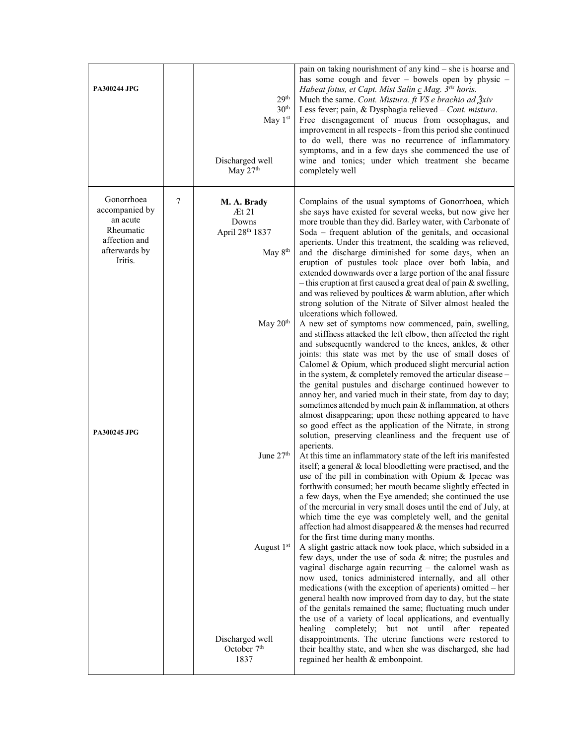| PA300244 JPG                                                                                       |   | 29 <sup>th</sup><br>30 <sup>th</sup><br>May 1st<br>Discharged well<br>May 27th | pain on taking nourishment of any kind – she is hoarse and<br>has some cough and fever $-$ bowels open by physic $-$<br>Habeat fotus, et Capt. Mist Salin c Mag. 3 <sup>tis</sup> horis.<br>Much the same. Cont. Mistura. ft VS e brachio ad $\frac{3}{2}$ xiv<br>Less fever; pain, & Dysphagia relieved - Cont. mistura.<br>Free disengagement of mucus from oesophagus, and<br>improvement in all respects - from this period she continued<br>to do well, there was no recurrence of inflammatory<br>symptoms, and in a few days she commenced the use of<br>wine and tonics; under which treatment she became<br>completely well                                                                                                                                                                                                                                                                                                     |
|----------------------------------------------------------------------------------------------------|---|--------------------------------------------------------------------------------|------------------------------------------------------------------------------------------------------------------------------------------------------------------------------------------------------------------------------------------------------------------------------------------------------------------------------------------------------------------------------------------------------------------------------------------------------------------------------------------------------------------------------------------------------------------------------------------------------------------------------------------------------------------------------------------------------------------------------------------------------------------------------------------------------------------------------------------------------------------------------------------------------------------------------------------|
| Gonorrhoea<br>accompanied by<br>an acute<br>Rheumatic<br>affection and<br>afterwards by<br>Iritis. | 7 | M. A. Brady<br>At 21<br>Downs<br>April 28th 1837<br>May $8th$                  | Complains of the usual symptoms of Gonorrhoea, which<br>she says have existed for several weeks, but now give her<br>more trouble than they did. Barley water, with Carbonate of<br>Soda – frequent ablution of the genitals, and occasional<br>aperients. Under this treatment, the scalding was relieved,<br>and the discharge diminished for some days, when an<br>eruption of pustules took place over both labia, and<br>extended downwards over a large portion of the anal fissure<br>$-$ this eruption at first caused a great deal of pain & swelling,<br>and was relieved by poultices & warm ablution, after which<br>strong solution of the Nitrate of Silver almost healed the<br>ulcerations which followed.                                                                                                                                                                                                               |
| PA300245 JPG                                                                                       |   | May $20th$                                                                     | A new set of symptoms now commenced, pain, swelling,<br>and stiffness attacked the left elbow, then affected the right<br>and subsequently wandered to the knees, ankles, & other<br>joints: this state was met by the use of small doses of<br>Calomel & Opium, which produced slight mercurial action<br>in the system, & completely removed the articular disease -<br>the genital pustules and discharge continued however to<br>annoy her, and varied much in their state, from day to day;<br>sometimes attended by much pain & inflammation, at others<br>almost disappearing; upon these nothing appeared to have<br>so good effect as the application of the Nitrate, in strong<br>solution, preserving cleanliness and the frequent use of<br>aperients.                                                                                                                                                                       |
|                                                                                                    |   | June 27 <sup>th</sup><br>August 1 <sup>st</sup>                                | At this time an inflammatory state of the left iris manifested<br>itself; a general & local bloodletting were practised, and the<br>use of the pill in combination with Opium & Ipecac was<br>forthwith consumed; her mouth became slightly effected in<br>a few days, when the Eye amended; she continued the use<br>of the mercurial in very small doses until the end of July, at<br>which time the eye was completely well, and the genital<br>affection had almost disappeared & the menses had recurred<br>for the first time during many months.<br>A slight gastric attack now took place, which subsided in a<br>few days, under the use of soda & nitre; the pustules and<br>vaginal discharge again recurring $-$ the calomel wash as<br>now used, tonics administered internally, and all other<br>medications (with the exception of aperients) omitted – her<br>general health now improved from day to day, but the state |
|                                                                                                    |   | Discharged well<br>October 7 <sup>th</sup><br>1837                             | of the genitals remained the same; fluctuating much under<br>the use of a variety of local applications, and eventually<br>healing completely; but not until after repeated<br>disappointments. The uterine functions were restored to<br>their healthy state, and when she was discharged, she had<br>regained her health & embonpoint.                                                                                                                                                                                                                                                                                                                                                                                                                                                                                                                                                                                                 |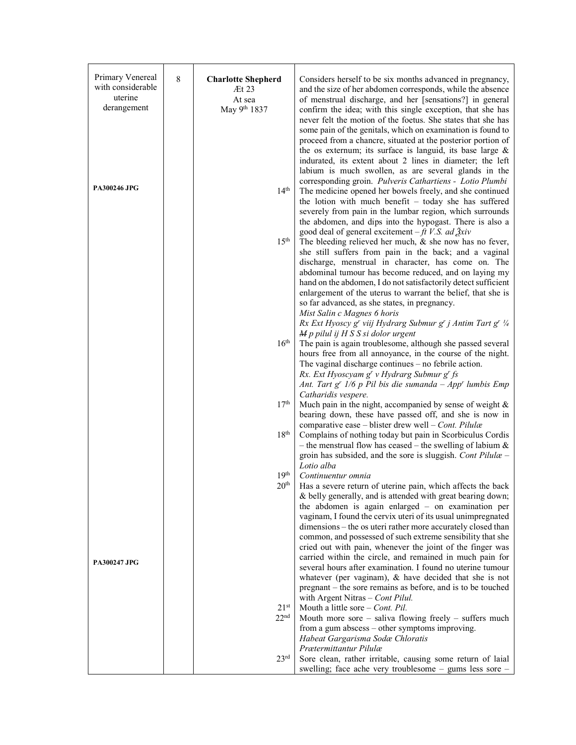| Primary Venereal<br>with considerable<br>uterine<br>derangement | 8 | <b>Charlotte Shepherd</b><br>At 23<br>At sea<br>May 9th 1837 | Considers herself to be six months advanced in pregnancy,<br>and the size of her abdomen corresponds, while the absence<br>of menstrual discharge, and her [sensations?] in general<br>confirm the idea; with this single exception, that she has<br>never felt the motion of the foetus. She states that she has<br>some pain of the genitals, which on examination is found to                                                                                                                                                                                                                                                            |
|-----------------------------------------------------------------|---|--------------------------------------------------------------|---------------------------------------------------------------------------------------------------------------------------------------------------------------------------------------------------------------------------------------------------------------------------------------------------------------------------------------------------------------------------------------------------------------------------------------------------------------------------------------------------------------------------------------------------------------------------------------------------------------------------------------------|
| <b>PA300246 JPG</b>                                             |   | 14 <sup>th</sup>                                             | proceed from a chancre, situated at the posterior portion of<br>the os externum; its surface is languid, its base large $\&$<br>indurated, its extent about 2 lines in diameter; the left<br>labium is much swollen, as are several glands in the<br>corresponding groin. Pulveris Cathartiens - Lotio Plumbi<br>The medicine opened her bowels freely, and she continued<br>the lotion with much benefit - today she has suffered<br>severely from pain in the lumbar region, which surrounds<br>the abdomen, and dips into the hypogast. There is also a<br>good deal of general excitement $-ft$ V.S. ad $\frac{\partial x}{\partial y}$ |
|                                                                 |   | 15 <sup>th</sup>                                             | The bleeding relieved her much, $\&$ she now has no fever,<br>she still suffers from pain in the back; and a vaginal<br>discharge, menstrual in character, has come on. The<br>abdominal tumour has become reduced, and on laying my<br>hand on the abdomen, I do not satisfactorily detect sufficient<br>enlargement of the uterus to warrant the belief, that she is<br>so far advanced, as she states, in pregnancy.<br>Mist Salin c Magnes 6 horis                                                                                                                                                                                      |
|                                                                 |   | 16 <sup>th</sup>                                             | Rx Ext Hyoscy g' viij Hydrarg Submur g' j Antim Tart g' 1/4<br>$M$ p pilul ij $H S S$ si dolor urgent<br>The pain is again troublesome, although she passed several<br>hours free from all annoyance, in the course of the night.<br>The vaginal discharge continues $-$ no febrile action.<br>Rx. Ext Hyoscyam g' v Hydrarg Submur g' fs<br>Ant. Tart $g^{r}$ 1/6 p Pil bis die sumanda - App <sup>r</sup> lumbis Emp<br>Catharidis vespere.                                                                                                                                                                                               |
|                                                                 |   | 17 <sup>th</sup><br>18 <sup>th</sup>                         | Much pain in the night, accompanied by sense of weight &<br>bearing down, these have passed off, and she is now in<br>comparative ease – blister drew well – Cont. Pilulæ<br>Complains of nothing today but pain in Scorbiculus Cordis<br>- the menstrual flow has ceased - the swelling of labium $\&$<br>groin has subsided, and the sore is sluggish. Cont Pilulæ $-$                                                                                                                                                                                                                                                                    |
|                                                                 |   | 19 <sup>th</sup><br>20 <sup>th</sup>                         | Lotio alba<br>Continuentur omnia<br>Has a severe return of uterine pain, which affects the back<br>& belly generally, and is attended with great bearing down;<br>the abdomen is again enlarged $-$ on examination per<br>vaginam, I found the cervix uteri of its usual unimpregnated<br>dimensions - the os uteri rather more accurately closed than<br>common, and possessed of such extreme sensibility that she<br>cried out with pain, whenever the joint of the finger was                                                                                                                                                           |
| <b>PA300247 JPG</b>                                             |   |                                                              | carried within the circle, and remained in much pain for<br>several hours after examination. I found no uterine tumour<br>whatever (per vaginam), $\&$ have decided that she is not<br>pregnant – the sore remains as before, and is to be touched<br>with Argent Nitras - Cont Pilul.                                                                                                                                                                                                                                                                                                                                                      |
|                                                                 |   | 21 <sup>st</sup><br>22 <sup>nd</sup>                         | Mouth a little sore - Cont. Pil.<br>Mouth more sore $-$ saliva flowing freely $-$ suffers much<br>from a gum abscess – other symptoms improving.<br>Habeat Gargarisma Sodæ Chloratis<br>Prætermittantur Pilulæ                                                                                                                                                                                                                                                                                                                                                                                                                              |
|                                                                 |   | 23 <sup>rd</sup>                                             | Sore clean, rather irritable, causing some return of laial<br>swelling; face ache very troublesome - gums less sore -                                                                                                                                                                                                                                                                                                                                                                                                                                                                                                                       |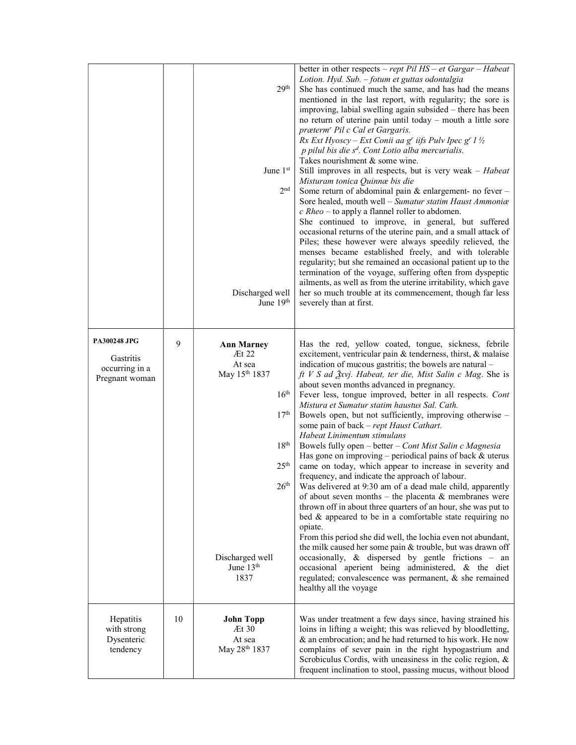|                                                               |    | 29 <sup>th</sup><br>June $1st$<br>2 <sup>nd</sup><br>Discharged well<br>June 19th                                                                                                                          | better in other respects – rept Pil $HS - et Gargar - Habeat$<br>Lotion. Hyd. Sub. - fotum et guttas odontalgia<br>She has continued much the same, and has had the means<br>mentioned in the last report, with regularity; the sore is<br>improving, labial swelling again subsided - there has been<br>no return of uterine pain until today – mouth a little sore<br>præterm' Pil c Cal et Gargaris.<br>Rx Ext Hyoscy - Ext Conii aa g' iifs Pulv Ipec g' 1 $\frac{1}{2}$<br>p pilul bis die $s^d$ . Cont Lotio alba mercurialis.<br>Takes nourishment & some wine.<br>Still improves in all respects, but is very weak - Habeat<br>Misturam tonica Quinnæ bis die<br>Some return of abdominal pain & enlargement- no fever -<br>Sore healed, mouth well - Sumatur statim Haust Ammoniæ<br>$c$ Rheo - to apply a flannel roller to abdomen.<br>She continued to improve, in general, but suffered<br>occasional returns of the uterine pain, and a small attack of<br>Piles; these however were always speedily relieved, the<br>menses became established freely, and with tolerable<br>regularity; but she remained an occasional patient up to the<br>termination of the voyage, suffering often from dyspeptic<br>ailments, as well as from the uterine irritability, which gave<br>her so much trouble at its commencement, though far less<br>severely than at first.            |
|---------------------------------------------------------------|----|------------------------------------------------------------------------------------------------------------------------------------------------------------------------------------------------------------|-------------------------------------------------------------------------------------------------------------------------------------------------------------------------------------------------------------------------------------------------------------------------------------------------------------------------------------------------------------------------------------------------------------------------------------------------------------------------------------------------------------------------------------------------------------------------------------------------------------------------------------------------------------------------------------------------------------------------------------------------------------------------------------------------------------------------------------------------------------------------------------------------------------------------------------------------------------------------------------------------------------------------------------------------------------------------------------------------------------------------------------------------------------------------------------------------------------------------------------------------------------------------------------------------------------------------------------------------------------------------------------------|
| PA300248 JPG<br>Gastritis<br>occurring in a<br>Pregnant woman | 9  | <b>Ann Marney</b><br>Æt 22<br>At sea<br>May 15th 1837<br>16 <sup>th</sup><br>17 <sup>th</sup><br>18 <sup>th</sup><br>25 <sup>th</sup><br>$26^{\rm th}$<br>Discharged well<br>June 13 <sup>th</sup><br>1837 | Has the red, yellow coated, tongue, sickness, febrile<br>excitement, ventricular pain & tenderness, thirst, & malaise<br>indication of mucous gastritis; the bowels are natural -<br>ft V S ad Ѯxvj. Habeat, ter die, Mist Salin c Mag. She is<br>about seven months advanced in pregnancy.<br>Fever less, tongue improved, better in all respects. Cont<br>Mistura et Sumatur statim haustus Sal. Cath.<br>Bowels open, but not sufficiently, improving otherwise -<br>some pain of back – rept Haust Cathart.<br>Habeat Linimentum stimulans<br>Bowels fully open - better - Cont Mist Salin c Magnesia<br>Has gone on improving – periodical pains of back $\&$ uterus<br>came on today, which appear to increase in severity and<br>frequency, and indicate the approach of labour.<br>Was delivered at 9:30 am of a dead male child, apparently<br>of about seven months - the placenta $\&$ membranes were<br>thrown off in about three quarters of an hour, she was put to<br>bed $\&$ appeared to be in a comfortable state requiring no<br>opiate.<br>From this period she did well, the lochia even not abundant,<br>the milk caused her some pain & trouble, but was drawn off<br>occasionally, & dispersed by gentle frictions - an<br>occasional aperient being administered, & the diet<br>regulated; convalescence was permanent, & she remained<br>healthy all the voyage |
| Hepatitis<br>with strong<br>Dysenteric<br>tendency            | 10 | <b>John Topp</b><br>Æt 30<br>At sea<br>May 28th 1837                                                                                                                                                       | Was under treatment a few days since, having strained his<br>loins in lifting a weight; this was relieved by bloodletting,<br>& an embrocation; and he had returned to his work. He now<br>complains of sever pain in the right hypogastrium and<br>Scrobiculus Cordis, with uneasiness in the colic region, &<br>frequent inclination to stool, passing mucus, without blood                                                                                                                                                                                                                                                                                                                                                                                                                                                                                                                                                                                                                                                                                                                                                                                                                                                                                                                                                                                                             |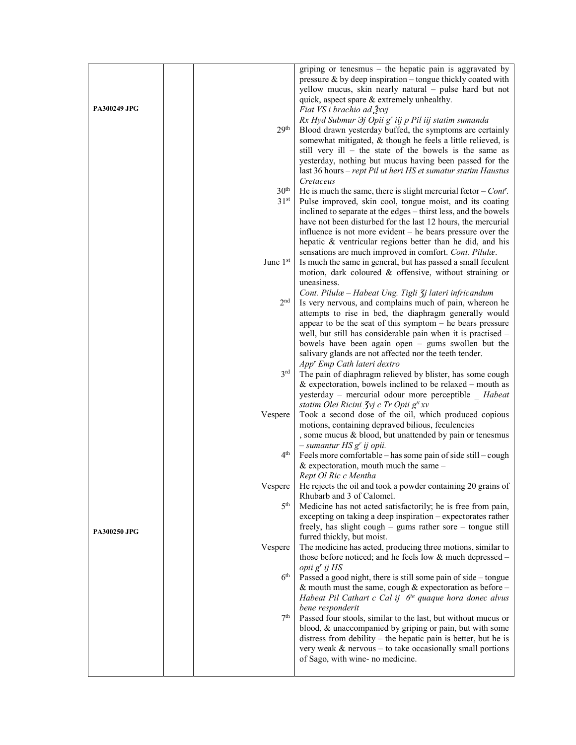|                     |                  | griping or tenesmus - the hepatic pain is aggravated by<br>pressure $\&$ by deep inspiration – tongue thickly coated with                                                           |
|---------------------|------------------|-------------------------------------------------------------------------------------------------------------------------------------------------------------------------------------|
| <b>PA300249 JPG</b> |                  | yellow mucus, skin nearly natural - pulse hard but not<br>quick, aspect spare & extremely unhealthy.<br>Fiat VS i brachio ad $\tilde{g}xyj$                                         |
|                     | 29 <sup>th</sup> | Rx Hyd Submur $\partial j$ Opii g' iij p Pil iij statim sumanda<br>Blood drawn yesterday buffed, the symptoms are certainly                                                         |
|                     |                  | somewhat mitigated, & though he feels a little relieved, is<br>still very ill $-$ the state of the bowels is the same as                                                            |
|                     |                  | yesterday, nothing but mucus having been passed for the<br>last 36 hours - rept Pil ut heri HS et sumatur statim Haustus                                                            |
|                     | 30 <sup>th</sup> | Cretaceus                                                                                                                                                                           |
|                     | 31 <sup>st</sup> | He is much the same, there is slight mercurial fector $-$ Cont'.<br>Pulse improved, skin cool, tongue moist, and its coating                                                        |
|                     |                  | inclined to separate at the edges - thirst less, and the bowels<br>have not been disturbed for the last 12 hours, the mercurial                                                     |
|                     |                  | influence is not more evident $-$ he bears pressure over the<br>hepatic & ventricular regions better than he did, and his<br>sensations are much improved in comfort. Cont. Pilulæ. |
|                     | June 1st         | Is much the same in general, but has passed a small feculent<br>motion, dark coloured & offensive, without straining or                                                             |
|                     |                  | uneasiness.                                                                                                                                                                         |
|                     | 2 <sub>nd</sub>  | Cont. Pilulæ – Habeat Ung. Tigli 3j lateri infricandum<br>Is very nervous, and complains much of pain, whereon he                                                                   |
|                     |                  | attempts to rise in bed, the diaphragm generally would<br>appear to be the seat of this symptom $-$ he bears pressure                                                               |
|                     |                  | well, but still has considerable pain when it is practised -<br>bowels have been again open $-$ gums swollen but the                                                                |
|                     |                  | salivary glands are not affected nor the teeth tender.<br>App <sup>r</sup> Emp Cath lateri dextro                                                                                   |
|                     | $3^{\text{rd}}$  | The pain of diaphragm relieved by blister, has some cough<br>& expectoration, bowels inclined to be relaxed – mouth as<br>yesterday – mercurial odour more perceptible _ Habeat     |
|                     | Vespere          | statim Olei Ricini 3vj c Tr Opii g <sup>tt</sup> xv<br>Took a second dose of the oil, which produced copious                                                                        |
|                     |                  | motions, containing depraved bilious, feculencies<br>, some mucus & blood, but unattended by pain or tenesmus                                                                       |
|                     | 4 <sup>th</sup>  | $-$ sumantur HS g <sup>r</sup> ij opii.<br>Feels more comfortable – has some pain of side still – cough                                                                             |
|                     |                  | & expectoration, mouth much the same $-$<br>Rept Ol Ric c Mentha                                                                                                                    |
|                     | Vespere          | He rejects the oil and took a powder containing 20 grains of<br>Rhubarb and 3 of Calomel.                                                                                           |
|                     | 5 <sup>th</sup>  | Medicine has not acted satisfactorily; he is free from pain,<br>excepting on taking a deep inspiration - expectorates rather                                                        |
| PA300250 JPG        |                  | freely, has slight cough $-$ gums rather sore $-$ tongue still<br>furred thickly, but moist.                                                                                        |
|                     | Vespere          | The medicine has acted, producing three motions, similar to<br>those before noticed; and he feels low $&$ much depressed –                                                          |
|                     | 6 <sup>th</sup>  | opii g' ij HS<br>Passed a good night, there is still some pain of side - tongue                                                                                                     |
|                     |                  | & mouth must the same, cough & expectoration as before $-$<br>Habeat Pil Cathart c Cal ij $6^{ta}$ quaque hora donec alvus                                                          |
|                     | 7 <sup>th</sup>  | bene responderit<br>Passed four stools, similar to the last, but without mucus or                                                                                                   |
|                     |                  | blood, & unaccompanied by griping or pain, but with some<br>distress from debility $-$ the hepatic pain is better, but he is                                                        |
|                     |                  | very weak & nervous - to take occasionally small portions<br>of Sago, with wine- no medicine.                                                                                       |
|                     |                  |                                                                                                                                                                                     |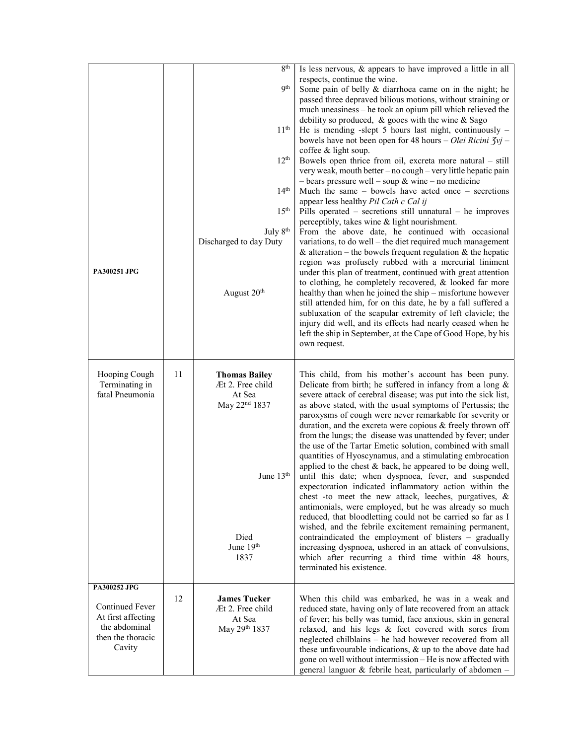|                                                                                              |    | 8 <sup>th</sup><br><b>9th</b>                                                   | Is less nervous, & appears to have improved a little in all<br>respects, continue the wine.<br>Some pain of belly & diarrhoea came on in the night; he<br>passed three depraved bilious motions, without straining or                                                                                                                                                                                                                                                                                                                                                                                                                  |
|----------------------------------------------------------------------------------------------|----|---------------------------------------------------------------------------------|----------------------------------------------------------------------------------------------------------------------------------------------------------------------------------------------------------------------------------------------------------------------------------------------------------------------------------------------------------------------------------------------------------------------------------------------------------------------------------------------------------------------------------------------------------------------------------------------------------------------------------------|
|                                                                                              |    | 11 <sup>th</sup>                                                                | much uneasiness – he took an opium pill which relieved the<br>debility so produced, $\&$ gooes with the wine $\&$ Sago<br>He is mending -slept 5 hours last night, continuously $-$<br>bowels have not been open for 48 hours - Olei Ricini $\overline{\mathcal{S}}$ vj -                                                                                                                                                                                                                                                                                                                                                              |
|                                                                                              |    | $12^{th}$<br>14 <sup>th</sup>                                                   | coffee & light soup.<br>Bowels open thrice from oil, excreta more natural - still<br>very weak, mouth better – no cough – very little hepatic pain<br>- bears pressure well - soup & wine - no medicine<br>Much the same $-$ bowels have acted once $-$ secretions                                                                                                                                                                                                                                                                                                                                                                     |
|                                                                                              |    |                                                                                 | appear less healthy Pil Cath c Cal ij                                                                                                                                                                                                                                                                                                                                                                                                                                                                                                                                                                                                  |
|                                                                                              |    | $15^{\rm th}$<br>July 8 <sup>th</sup><br>Discharged to day Duty                 | Pills operated $-$ secretions still unnatural $-$ he improves<br>perceptibly, takes wine & light nourishment.<br>From the above date, he continued with occasional<br>variations, to do well - the diet required much management<br>& alteration – the bowels frequent regulation & the hepatic                                                                                                                                                                                                                                                                                                                                        |
| <b>PA300251 JPG</b>                                                                          |    | August 20 <sup>th</sup>                                                         | region was profusely rubbed with a mercurial liniment<br>under this plan of treatment, continued with great attention<br>to clothing, he completely recovered, & looked far more<br>healthy than when he joined the ship – misfortune however<br>still attended him, for on this date, he by a fall suffered a<br>subluxation of the scapular extremity of left clavicle; the<br>injury did well, and its effects had nearly ceased when he<br>left the ship in September, at the Cape of Good Hope, by his<br>own request.                                                                                                            |
| Hooping Cough<br>Terminating in<br>fatal Pneumonia                                           | 11 | <b>Thomas Bailey</b><br>Æt 2. Free child<br>At Sea<br>May 22 <sup>nd</sup> 1837 | This child, from his mother's account has been puny.<br>Delicate from birth; he suffered in infancy from a long $\&$<br>severe attack of cerebral disease; was put into the sick list,<br>as above stated, with the usual symptoms of Pertussis; the<br>paroxysms of cough were never remarkable for severity or<br>duration, and the excreta were copious & freely thrown off<br>from the lungs; the disease was unattended by fever; under<br>the use of the Tartar Emetic solution, combined with small<br>quantities of Hyoscynamus, and a stimulating embrocation<br>applied to the chest $&$ back, he appeared to be doing well, |
|                                                                                              |    | June 13 <sup>th</sup><br>Died<br>June 19th<br>1837                              | until this date; when dyspnoea, fever, and suspended<br>expectoration indicated inflammatory action within the<br>chest -to meet the new attack, leeches, purgatives, &<br>antimonials, were employed, but he was already so much<br>reduced, that bloodletting could not be carried so far as I<br>wished, and the febrile excitement remaining permanent,<br>contraindicated the employment of blisters - gradually<br>increasing dyspnoea, ushered in an attack of convulsions,<br>which after recurring a third time within 48 hours,<br>terminated his existence.                                                                 |
| PA300252 JPG                                                                                 | 12 | <b>James Tucker</b>                                                             | When this child was embarked, he was in a weak and                                                                                                                                                                                                                                                                                                                                                                                                                                                                                                                                                                                     |
| <b>Continued Fever</b><br>At first affecting<br>the abdominal<br>then the thoracic<br>Cavity |    | Æt 2. Free child<br>At Sea<br>May 29th 1837                                     | reduced state, having only of late recovered from an attack<br>of fever; his belly was tumid, face anxious, skin in general<br>relaxed, and his legs & feet covered with sores from<br>neglected chilblains - he had however recovered from all<br>these unfavourable indications, & up to the above date had<br>gone on well without intermission - He is now affected with<br>general languor & febrile heat, particularly of abdomen -                                                                                                                                                                                              |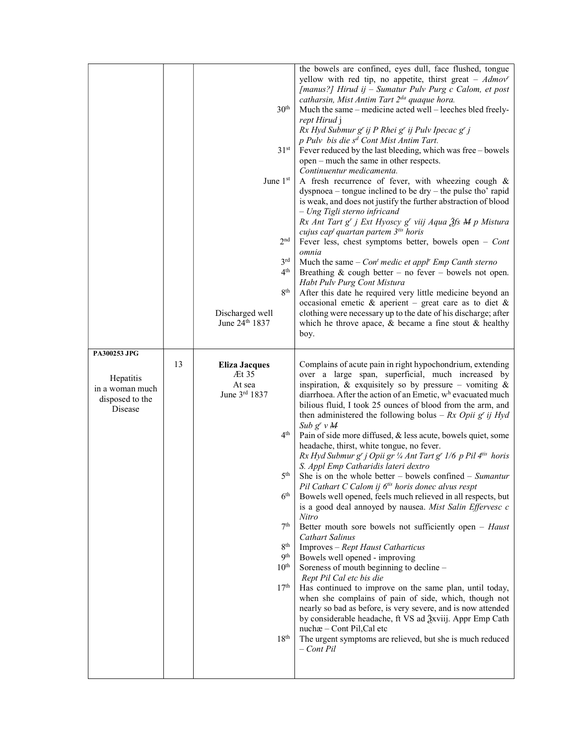|                                                                            |    | $30^{\rm th}$<br>31 <sup>st</sup><br>June 1st<br>2 <sup>nd</sup><br>3 <sup>rd</sup><br>4 <sup>th</sup><br>$8^{\rm th}$<br>Discharged well<br>June 24th 1837                                                                      | the bowels are confined, eyes dull, face flushed, tongue<br>yellow with red tip, no appetite, thirst great - $Admovr$<br>[manus?] Hirud ij – Sumatur Pulv Purg c Calom, et post<br>catharsin, Mist Antim Tart 2 <sup>da</sup> quaque hora.<br>Much the same – medicine acted well – leeches bled freely-<br>rept Hirud j<br>Rx Hyd Submur g' ij P Rhei g' ij Pulv Ipecac g' j<br>$p$ Pulv bis die s <sup>d</sup> Cont Mist Antim Tart.<br>Fever reduced by the last bleeding, which was free - bowels<br>open – much the same in other respects.<br>Continuentur medicamenta.<br>A fresh recurrence of fever, with wheezing cough &<br>dyspnoea - tongue inclined to be dry - the pulse tho' rapid<br>is weak, and does not justify the further abstraction of blood<br>$-$ Ung Tigli sterno infricand<br>Rx Ant Tart g <sup>r</sup> j Ext Hyoscy g <sup>r</sup> viij Aqua $\tilde{A}$ fs M p Mistura<br>cujus cap <sup>t</sup> quartan partem 3 <sup>tis</sup> horis<br>Fever less, chest symptoms better, bowels open $-$ Cont<br>omnia<br>Much the same $-$ Con <sup>t</sup> medic et appl <sup>r</sup> Emp Canth sterno<br>Breathing $\&$ cough better – no fever – bowels not open.<br>Habt Pulv Purg Cont Mistura<br>After this date he required very little medicine beyond an<br>occasional emetic & aperient - great care as to diet &<br>clothing were necessary up to the date of his discharge; after<br>which he throve apace, $\&$ became a fine stout $\&$ healthy<br>boy. |
|----------------------------------------------------------------------------|----|----------------------------------------------------------------------------------------------------------------------------------------------------------------------------------------------------------------------------------|-------------------------------------------------------------------------------------------------------------------------------------------------------------------------------------------------------------------------------------------------------------------------------------------------------------------------------------------------------------------------------------------------------------------------------------------------------------------------------------------------------------------------------------------------------------------------------------------------------------------------------------------------------------------------------------------------------------------------------------------------------------------------------------------------------------------------------------------------------------------------------------------------------------------------------------------------------------------------------------------------------------------------------------------------------------------------------------------------------------------------------------------------------------------------------------------------------------------------------------------------------------------------------------------------------------------------------------------------------------------------------------------------------------------------------------------------------------------------------------------|
| PA300253 JPG<br>Hepatitis<br>in a woman much<br>disposed to the<br>Disease | 13 | <b>Eliza Jacques</b><br>Æt 35<br>At sea<br>June 3rd 1837<br>4 <sup>th</sup><br>$5^{\rm th}$<br>6 <sup>th</sup><br>7 <sup>th</sup><br>8 <sup>th</sup><br>$9^{\rm th}$<br>$10^{\text{th}}$<br>17 <sup>th</sup><br>18 <sup>th</sup> | Complains of acute pain in right hypochondrium, extending<br>over a large span, superficial, much increased by<br>inspiration, & exquisitely so by pressure - vomiting $\&$<br>diarrhoea. After the action of an Emetic, wh evacuated much<br>bilious fluid, I took 25 ounces of blood from the arm, and<br>then administered the following bolus – Rx Opii g' ij Hyd<br>Sub $g'$ v $M$<br>Pain of side more diffused, & less acute, bowels quiet, some<br>headache, thirst, white tongue, no fever.<br>Rx Hyd Submur g' j Opii gr 1/4 Ant Tart g' 1/6 p Pil 4tis horis<br>S. Appl Emp Catharidis lateri dextro<br>She is on the whole better $-$ bowels confined $-$ Sumantur<br>Pil Cathart C Calom ij $6us$ horis donec alvus respt<br>Bowels well opened, feels much relieved in all respects, but<br>is a good deal annoyed by nausea. Mist Salin Effervesc c<br>Nitro<br>Better mouth sore bowels not sufficiently open - Haust<br><b>Cathart Salinus</b><br>Improves - Rept Haust Catharticus<br>Bowels well opened - improving<br>Soreness of mouth beginning to decline -<br>Rept Pil Cal etc bis die<br>Has continued to improve on the same plan, until today,<br>when she complains of pain of side, which, though not<br>nearly so bad as before, is very severe, and is now attended<br>by considerable headache, ft VS ad Žxviij. Appr Emp Cath<br>nuchæ - Cont Pil, Cal etc<br>The urgent symptoms are relieved, but she is much reduced<br>– Cont Pil                    |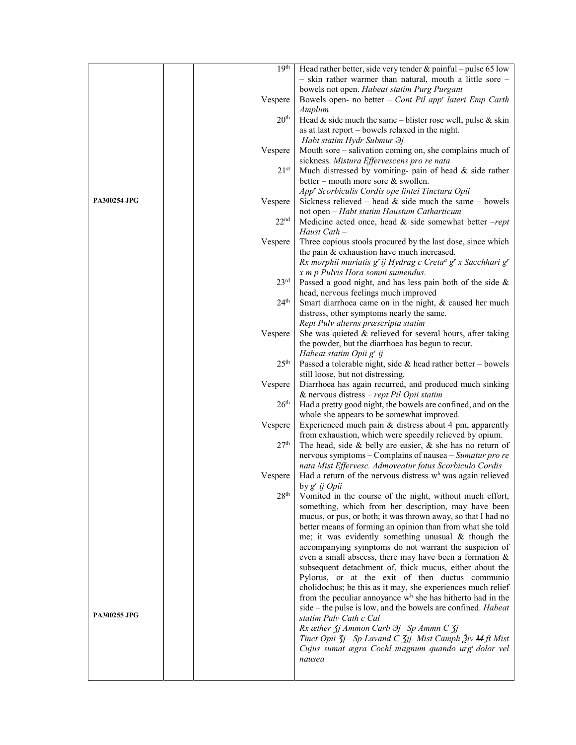|                     |  | 19 <sup>th</sup> | Head rather better, side very tender $\&$ painful – pulse 65 low        |
|---------------------|--|------------------|-------------------------------------------------------------------------|
|                     |  |                  | $-$ skin rather warmer than natural, mouth a little sore $-$            |
|                     |  |                  | bowels not open. Habeat statim Purg Purgant                             |
|                     |  | Vespere          | Bowels open- no better $-$ Cont Pil app <sup>r</sup> lateri Emp Carth   |
|                     |  |                  | Amplum                                                                  |
|                     |  | 20 <sup>th</sup> | Head & side much the same – blister rose well, pulse & skin             |
|                     |  |                  | as at last report – bowels relaxed in the night.                        |
|                     |  |                  | Habt statim Hydr Submur Əj                                              |
|                     |  | Vespere          | Mouth sore $-$ salivation coming on, she complains much of              |
|                     |  |                  | sickness. Mistura Effervescens pro re nata                              |
|                     |  | 21 <sup>st</sup> | Much distressed by vomiting- pain of head & side rather                 |
|                     |  |                  | better - mouth more sore & swollen.                                     |
|                     |  |                  | App <sup>r</sup> Scorbiculis Cordis ope lintei Tinctura Opii            |
| PA300254 JPG        |  | Vespere          | Sickness relieved – head $\&$ side much the same – bowels               |
|                     |  |                  | not open - Habt statim Haustum Catharticum                              |
|                     |  | 22 <sup>nd</sup> | Medicine acted once, head $\&$ side somewhat better $-rept$             |
|                     |  |                  | Haust Cath –                                                            |
|                     |  | Vespere          | Three copious stools procured by the last dose, since which             |
|                     |  |                  | the pain & exhaustion have much increased.                              |
|                     |  |                  | Rx morphii muriatis g' ij Hydrag c Creta <sup>a</sup> g' x Sacchhari g' |
|                     |  |                  | x m p Pulvis Hora somni sumendus.                                       |
|                     |  | $23^{\rm rd}$    | Passed a good night, and has less pain both of the side &               |
|                     |  |                  | head, nervous feelings much improved                                    |
|                     |  | 24 <sup>th</sup> | Smart diarrhoea came on in the night, & caused her much                 |
|                     |  |                  | distress, other symptoms nearly the same.                               |
|                     |  |                  | Rept Pulv alterns præscripta statim                                     |
|                     |  | Vespere          | She was quieted & relieved for several hours, after taking              |
|                     |  |                  | the powder, but the diarrhoea has begun to recur.                       |
|                     |  |                  | Habeat statim Opii g' ij                                                |
|                     |  | 25 <sup>th</sup> | Passed a tolerable night, side $\&$ head rather better – bowels         |
|                     |  |                  | still loose, but not distressing.                                       |
|                     |  | Vespere          | Diarrhoea has again recurred, and produced much sinking                 |
|                     |  |                  | & nervous distress - rept Pil Opii statim                               |
|                     |  | 26 <sup>th</sup> | Had a pretty good night, the bowels are confined, and on the            |
|                     |  |                  | whole she appears to be somewhat improved.                              |
|                     |  | Vespere          | Experienced much pain & distress about 4 pm, apparently                 |
|                     |  |                  | from exhaustion, which were speedily relieved by opium.                 |
|                     |  | 27 <sup>th</sup> | The head, side $\&$ belly are easier, $\&$ she has no return of         |
|                     |  |                  | nervous symptoms – Complains of nausea – Sumatur pro re                 |
|                     |  |                  | nata Mist Effervesc. Admoveatur fotus Scorbiculo Cordis                 |
|                     |  | Vespere          | Had a return of the nervous distress $wh$ was again relieved            |
|                     |  |                  | by $g^r$ ij Opii                                                        |
|                     |  | 28 <sup>th</sup> | Vomited in the course of the night, without much effort,                |
|                     |  |                  | something, which from her description, may have been                    |
|                     |  |                  | mucus, or pus, or both; it was thrown away, so that I had no            |
|                     |  |                  | better means of forming an opinion than from what she told              |
|                     |  |                  | me; it was evidently something unusual $\&$ though the                  |
|                     |  |                  | accompanying symptoms do not warrant the suspicion of                   |
|                     |  |                  | even a small abscess, there may have been a formation &                 |
|                     |  |                  | subsequent detachment of, thick mucus, either about the                 |
|                     |  |                  | Pylorus, or at the exit of then ductus communio                         |
|                     |  |                  | cholidochus; be this as it may, she experiences much relief             |
|                     |  |                  | from the peculiar annoyance $wh$ she has hitherto had in the            |
|                     |  |                  | side – the pulse is low, and the bowels are confined. Habeat            |
| <b>PA300255 JPG</b> |  |                  | statim Pulv Cath c Cal                                                  |
|                     |  |                  | Rx æther $\zeta j$ Ammon Carb $\partial j$ Sp Ammn C $\zeta j$          |
|                     |  |                  | Tinct Opii 3j Sp Lavand C 3jj Mist Camph Živ M ft Mist                  |
|                     |  |                  | Cujus sumat ægra Cochl magnum quando urg <sup>t</sup> dolor vel         |
|                     |  |                  | nausea                                                                  |
|                     |  |                  |                                                                         |
|                     |  |                  |                                                                         |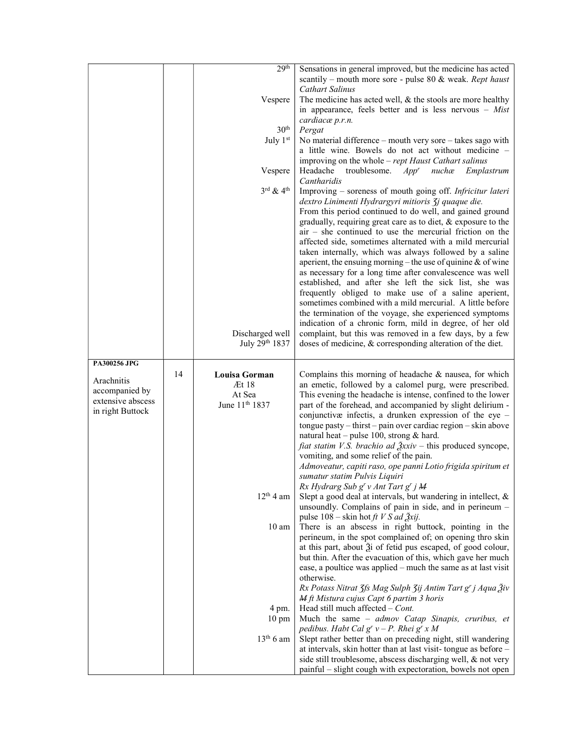|                   |    | 29 <sup>th</sup>                  | Sensations in general improved, but the medicine has acted                                                                 |
|-------------------|----|-----------------------------------|----------------------------------------------------------------------------------------------------------------------------|
|                   |    |                                   | scantily – mouth more sore - pulse 80 & weak. Rept haust                                                                   |
|                   |    |                                   | <b>Cathart Salinus</b>                                                                                                     |
|                   |    | Vespere                           | The medicine has acted well, $&$ the stools are more healthy                                                               |
|                   |    |                                   | in appearance, feels better and is less nervous $-$ Mist                                                                   |
|                   |    |                                   | cardiacæ p.r.n.                                                                                                            |
|                   |    | 30 <sup>th</sup>                  | Pergat                                                                                                                     |
|                   |    | July 1st                          | No material difference $-$ mouth very sore $-$ takes sago with                                                             |
|                   |    |                                   | a little wine. Bowels do not act without medicine -                                                                        |
|                   |    |                                   | improving on the whole – rept Haust Cathart salinus                                                                        |
|                   |    | Vespere                           | Headache<br>troublesome. $Appr$ nuchæ<br>Emplastrum                                                                        |
|                   |    |                                   | Cantharidis                                                                                                                |
|                   |    | $3^{\text{rd}}$ & $4^{\text{th}}$ | Improving – soreness of mouth going off. Infricitur lateri                                                                 |
|                   |    |                                   | dextro Linimenti Hydrargyri mitioris 3j quaque die.                                                                        |
|                   |    |                                   | From this period continued to do well, and gained ground                                                                   |
|                   |    |                                   | gradually, requiring great care as to diet, & exposure to the                                                              |
|                   |    |                                   | $air - she$ continued to use the mercurial friction on the                                                                 |
|                   |    |                                   | affected side, sometimes alternated with a mild mercurial                                                                  |
|                   |    |                                   | taken internally, which was always followed by a saline                                                                    |
|                   |    |                                   | aperient, the ensuing morning – the use of quinine $\&$ of wine                                                            |
|                   |    |                                   | as necessary for a long time after convalescence was well                                                                  |
|                   |    |                                   | established, and after she left the sick list, she was                                                                     |
|                   |    |                                   | frequently obliged to make use of a saline aperient,                                                                       |
|                   |    |                                   | sometimes combined with a mild mercurial. A little before                                                                  |
|                   |    |                                   | the termination of the voyage, she experienced symptoms                                                                    |
|                   |    |                                   | indication of a chronic form, mild in degree, of her old                                                                   |
|                   |    | Discharged well                   | complaint, but this was removed in a few days, by a few                                                                    |
|                   |    | July 29th 1837                    | doses of medicine, $\&$ corresponding alteration of the diet.                                                              |
|                   |    |                                   |                                                                                                                            |
| PA300256 JPG      |    |                                   |                                                                                                                            |
|                   |    |                                   |                                                                                                                            |
|                   | 14 |                                   |                                                                                                                            |
| Arachnitis        |    | Louisa Gorman<br>At 18            | Complains this morning of headache $&$ nausea, for which<br>an emetic, followed by a calomel purg, were prescribed.        |
| accompanied by    |    | At Sea                            | This evening the headache is intense, confined to the lower                                                                |
| extensive abscess |    | June 11 <sup>th</sup> 1837        | part of the forehead, and accompanied by slight delirium -                                                                 |
| in right Buttock  |    |                                   | conjunctivæ infectis, a drunken expression of the eye -                                                                    |
|                   |    |                                   | tongue pasty - thirst - pain over cardiac region - skin above                                                              |
|                   |    |                                   | natural heat - pulse 100, strong $&$ hard.                                                                                 |
|                   |    |                                   | <i>fiat statim V.S. brachio ad <math>\frac{3}{2}</math>xxiv</i> – this produced syncope,                                   |
|                   |    |                                   | vomiting, and some relief of the pain.                                                                                     |
|                   |    |                                   | Admoveatur, capiti raso, ope panni Lotio frigida spiritum et                                                               |
|                   |    |                                   | sumatur statim Pulvis Liquiri                                                                                              |
|                   |    |                                   | $Rx$ Hydrarg Sub $gr v$ Ant Tart $gr j$ M                                                                                  |
|                   |    | $12th$ 4 am                       | Slept a good deal at intervals, but wandering in intellect, &                                                              |
|                   |    |                                   | unsoundly. Complains of pain in side, and in perineum -                                                                    |
|                   |    |                                   | pulse $108 -$ skin hot <i>ft V S ad <math>\tilde{f}</math>xij</i> .                                                        |
|                   |    | 10 <sub>am</sub>                  | There is an abscess in right buttock, pointing in the                                                                      |
|                   |    |                                   | perineum, in the spot complained of; on opening thro skin                                                                  |
|                   |    |                                   | at this part, about $\tilde{a}$ of fetid pus escaped, of good colour,                                                      |
|                   |    |                                   | but thin. After the evacuation of this, which gave her much                                                                |
|                   |    |                                   | ease, a poultice was applied – much the same as at last visit                                                              |
|                   |    |                                   | otherwise.                                                                                                                 |
|                   |    |                                   | Rx Potass Nitrat 3fs Mag Sulph 3ij Antim Tart g' j Aqua Živ                                                                |
|                   |    |                                   | <b>M</b> ft Mistura cujus Capt 6 partim 3 horis                                                                            |
|                   |    | 4 pm.                             | Head still much affected $-$ Cont.                                                                                         |
|                   |    | $10 \text{ pm}$                   | Much the same - admov Catap Sinapis, cruribus, et                                                                          |
|                   |    |                                   | pedibus. Habt Cal $g^{r} v - P$ . Rhei $g^{r} x M$                                                                         |
|                   |    | $13th 6$ am                       | Slept rather better than on preceding night, still wandering                                                               |
|                   |    |                                   | at intervals, skin hotter than at last visit-tongue as before -                                                            |
|                   |    |                                   | side still troublesome, abscess discharging well, & not very<br>painful – slight cough with expectoration, bowels not open |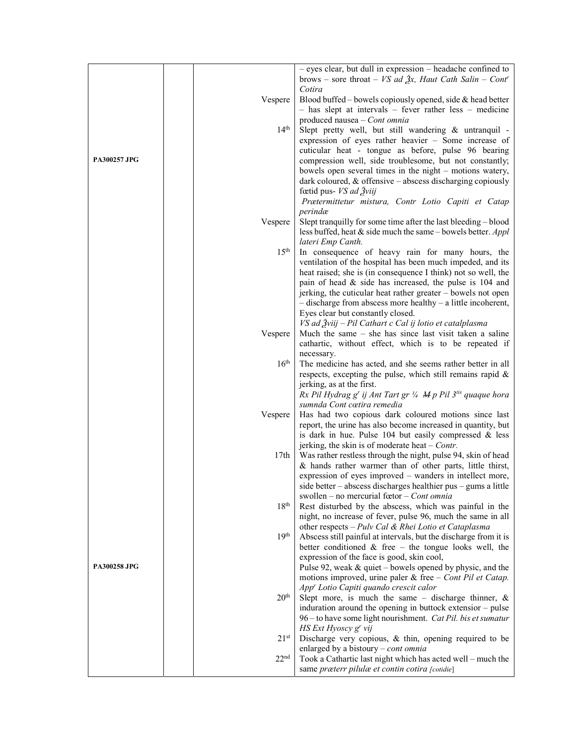|                     |                  | - eyes clear, but dull in expression - headache confined to<br>brows – sore throat – <i>VS ad <math>\frac{3}{2}x</math>, Haut Cath Salin – Cont</i><br>Cotira                                                                                                      |
|---------------------|------------------|--------------------------------------------------------------------------------------------------------------------------------------------------------------------------------------------------------------------------------------------------------------------|
|                     | Vespere          | Blood buffed – bowels copiously opened, side $\&$ head better<br>$-$ has slept at intervals $-$ fever rather less $-$ medicine                                                                                                                                     |
|                     | 14 <sup>th</sup> | produced nausea - Cont omnia<br>Slept pretty well, but still wandering & untranquil -<br>expression of eyes rather heavier - Some increase of<br>cuticular heat - tongue as before, pulse 96 bearing                                                               |
| <b>PA300257 JPG</b> |                  | compression well, side troublesome, but not constantly;<br>bowels open several times in the night – motions watery,<br>dark coloured, $&$ offensive – abscess discharging copiously<br>fœtid pus- VS ad Žviij                                                      |
|                     |                  | Prætermittetur mistura, Contr Lotio Capiti et Catap<br>perindæ                                                                                                                                                                                                     |
|                     | Vespere          | Slept tranquilly for some time after the last bleeding - blood<br>less buffed, heat $\&$ side much the same – bowels better. Appl<br>lateri Emp Canth.                                                                                                             |
|                     | $15^{\rm th}$    | In consequence of heavy rain for many hours, the<br>ventilation of the hospital has been much impeded, and its                                                                                                                                                     |
|                     |                  | heat raised; she is (in consequence I think) not so well, the<br>pain of head $&$ side has increased, the pulse is 104 and<br>jerking, the cuticular heat rather greater – bowels not open<br>$-$ discharge from abscess more healthy $-$ a little incoherent,     |
|                     |                  | Eyes clear but constantly closed.<br>VS ad Žviij – Pil Cathart c Cal ij lotio et catalplasma                                                                                                                                                                       |
|                     | Vespere          | Much the same $-$ she has since last visit taken a saline<br>cathartic, without effect, which is to be repeated if<br>necessary.                                                                                                                                   |
|                     | 16 <sup>th</sup> | The medicine has acted, and she seems rather better in all<br>respects, excepting the pulse, which still remains rapid &<br>jerking, as at the first.<br>Rx Pil Hydrag g' ij Ant Tart gr 1/4 M p Pil 3 <sup>tis</sup> quaque hora                                  |
|                     | Vespere          | sumnda Cont cœtira remedia<br>Has had two copious dark coloured motions since last<br>report, the urine has also become increased in quantity, but<br>is dark in hue. Pulse $104$ but easily compressed & less<br>jerking, the skin is of moderate heat $-$ Contr. |
|                     | 17th             | Was rather restless through the night, pulse 94, skin of head<br>& hands rather warmer than of other parts, little thirst,<br>expression of eyes improved – wanders in intellect more,<br>side better – abscess discharges healthier pus – gums a little           |
|                     | 18 <sup>th</sup> | swollen – no mercurial fœtor – Cont omnia<br>Rest disturbed by the abscess, which was painful in the<br>night, no increase of fever, pulse 96, much the same in all                                                                                                |
|                     | 19 <sup>th</sup> | other respects - Pulv Cal & Rhei Lotio et Cataplasma<br>Abscess still painful at intervals, but the discharge from it is<br>better conditioned $&$ free – the tongue looks well, the                                                                               |
| PA300258 JPG        |                  | expression of the face is good, skin cool,<br>Pulse 92, weak $&$ quiet – bowels opened by physic, and the<br>motions improved, urine paler & free - Cont Pil et Catap.<br>App <sup>r</sup> Lotio Capiti quando crescit calor                                       |
|                     | $20^{\rm th}$    | Slept more, is much the same – discharge thinner, $\&$<br>induration around the opening in buttock extensior – pulse<br>96 – to have some light nourishment. Cat Pil. bis et sumatur<br>HS Ext Hyoscy g' vij                                                       |
|                     | 21 <sup>st</sup> | Discharge very copious, $\&$ thin, opening required to be                                                                                                                                                                                                          |
|                     | 22 <sup>nd</sup> | enlarged by a bistoury $-$ cont omnia<br>Took a Cathartic last night which has acted well - much the<br>same præterr pilulæ et contin cotira [cotidie]                                                                                                             |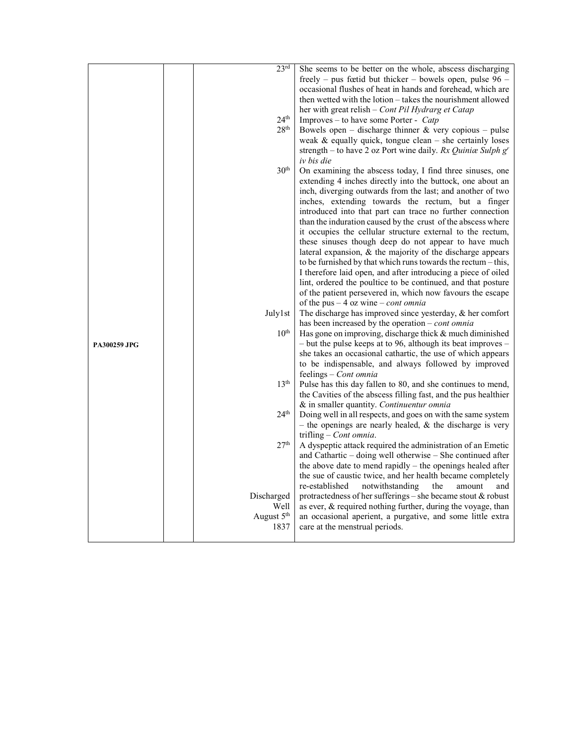|                     |  | 23 <sup>rd</sup>       | She seems to be better on the whole, abscess discharging                                                  |
|---------------------|--|------------------------|-----------------------------------------------------------------------------------------------------------|
|                     |  |                        | freely – pus feetid but thicker – bowels open, pulse $96$ –                                               |
|                     |  |                        | occasional flushes of heat in hands and forehead, which are                                               |
|                     |  |                        | then wetted with the lotion – takes the nourishment allowed                                               |
|                     |  |                        | her with great relish – Cont Pil Hydrarg et Catap                                                         |
|                     |  | $24^{\rm th}$          | Improves – to have some Porter - Catp                                                                     |
|                     |  | 28 <sup>th</sup>       | Bowels open – discharge thinner $\&$ very copious – pulse                                                 |
|                     |  |                        | weak $\&$ equally quick, tongue clean – she certainly loses                                               |
|                     |  |                        | strength – to have 2 oz Port wine daily. Rx Quinice Sulph $gr$                                            |
|                     |  |                        | iv bis die                                                                                                |
|                     |  | 30 <sup>th</sup>       | On examining the abscess today, I find three sinuses, one                                                 |
|                     |  |                        | extending 4 inches directly into the buttock, one about an                                                |
|                     |  |                        | inch, diverging outwards from the last; and another of two                                                |
|                     |  |                        | inches, extending towards the rectum, but a finger                                                        |
|                     |  |                        | introduced into that part can trace no further connection                                                 |
|                     |  |                        | than the induration caused by the crust of the abscess where                                              |
|                     |  |                        | it occupies the cellular structure external to the rectum,                                                |
|                     |  |                        | these sinuses though deep do not appear to have much                                                      |
|                     |  |                        | lateral expansion, $\&$ the majority of the discharge appears                                             |
|                     |  |                        | to be furnished by that which runs towards the rectum - this,                                             |
|                     |  |                        | I therefore laid open, and after introducing a piece of oiled                                             |
|                     |  |                        | lint, ordered the poultice to be continued, and that posture                                              |
|                     |  |                        | of the patient persevered in, which now favours the escape                                                |
|                     |  |                        | of the pus $-4$ oz wine $-$ cont omnia                                                                    |
|                     |  | July1 <sub>st</sub>    | The discharge has improved since yesterday, & her comfort                                                 |
|                     |  |                        | has been increased by the operation $-$ <i>cont omnia</i>                                                 |
|                     |  | $10^{\text{th}}$       | Has gone on improving, discharge thick & much diminished                                                  |
| <b>PA300259 JPG</b> |  |                        | $-$ but the pulse keeps at to 96, although its beat improves $-$                                          |
|                     |  |                        | she takes an occasional cathartic, the use of which appears                                               |
|                     |  |                        | to be indispensable, and always followed by improved                                                      |
|                     |  | 13 <sup>th</sup>       | feelings – Cont omnia                                                                                     |
|                     |  |                        | Pulse has this day fallen to 80, and she continues to mend,                                               |
|                     |  |                        | the Cavities of the abscess filling fast, and the pus healthier                                           |
|                     |  | 24 <sup>th</sup>       | & in smaller quantity. Continuentur omnia<br>Doing well in all respects, and goes on with the same system |
|                     |  |                        |                                                                                                           |
|                     |  |                        | - the openings are nearly healed, $\&$ the discharge is very<br>trifling - Cont omnia.                    |
|                     |  | 27 <sup>th</sup>       | A dyspeptic attack required the administration of an Emetic                                               |
|                     |  |                        | and Cathartic $-$ doing well otherwise $-$ She continued after                                            |
|                     |  |                        | the above date to mend rapidly $-$ the openings healed after                                              |
|                     |  |                        | the sue of caustic twice, and her health became completely                                                |
|                     |  |                        | re-established<br>notwithstanding<br>the<br>amount<br>and                                                 |
|                     |  | Discharged             | protractedness of her sufferings – she became stout $\&$ robust                                           |
|                     |  | Well                   | as ever, & required nothing further, during the voyage, than                                              |
|                     |  | August 5 <sup>th</sup> | an occasional aperient, a purgative, and some little extra                                                |
|                     |  | 1837                   | care at the menstrual periods.                                                                            |
|                     |  |                        |                                                                                                           |
|                     |  |                        |                                                                                                           |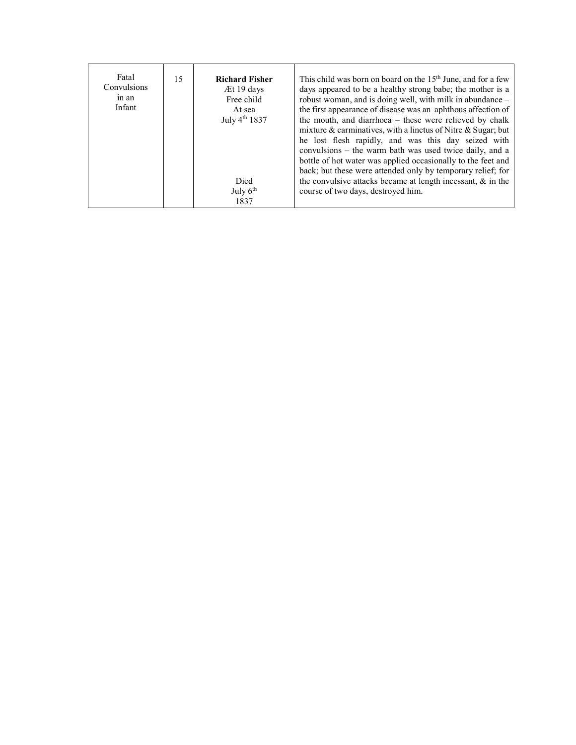| Fatal<br>Convulsions<br>in an<br>Infant | 15 | <b>Richard Fisher</b><br>Æt 19 days | This child was born on board on the 15 <sup>th</sup> June, and for a few<br>days appeared to be a healthy strong babe; the mother is a |  |  |  |
|-----------------------------------------|----|-------------------------------------|----------------------------------------------------------------------------------------------------------------------------------------|--|--|--|
|                                         |    | Free child                          | robust woman, and is doing well, with milk in abundance -                                                                              |  |  |  |
|                                         |    | At sea                              | the first appearance of disease was an aphthous affection of                                                                           |  |  |  |
|                                         |    | July 4 <sup>th</sup> 1837           | the mouth, and diarrhoea - these were relieved by chalk                                                                                |  |  |  |
|                                         |    |                                     | mixture $\&$ carminatives, with a linetus of Nitre $\&$ Sugar; but                                                                     |  |  |  |
|                                         |    |                                     | he lost flesh rapidly, and was this day seized with                                                                                    |  |  |  |
|                                         |    |                                     | convulsions – the warm bath was used twice daily, and a                                                                                |  |  |  |
|                                         |    |                                     | bottle of hot water was applied occasionally to the feet and                                                                           |  |  |  |
|                                         |    |                                     | back; but these were attended only by temporary relief; for                                                                            |  |  |  |
|                                         |    | Died                                | the convulsive attacks became at length incessant, $\&$ in the                                                                         |  |  |  |
|                                         |    | July $6th$                          | course of two days, destroyed him.                                                                                                     |  |  |  |
|                                         |    | 1837                                |                                                                                                                                        |  |  |  |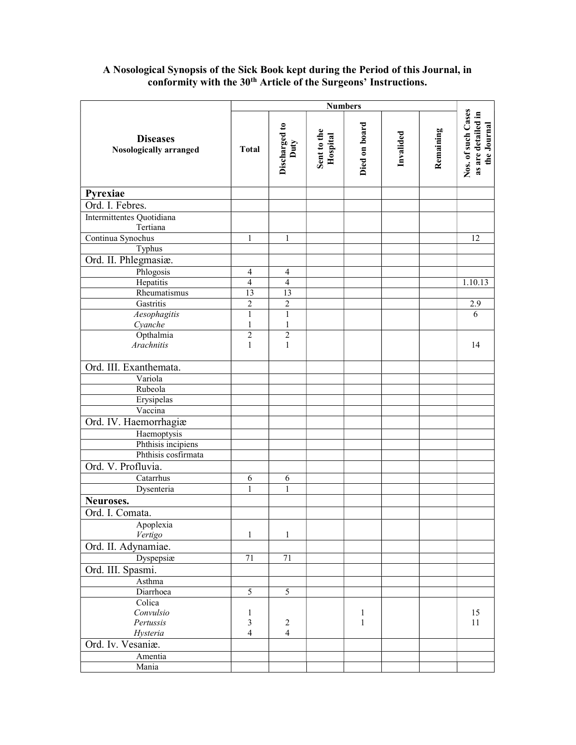#### **Diseases** Nosologically arranged Numbers<br>
Duty<br>
Duty<br>
Sent to the Hospital<br>
Hospital<br>
Died on board<br>
Invalided<br>
Invalided<br>
Remaining<br>
Remaining<br>
Remaining<br>
Remaining<br>
2005. of such Cases Pyrexiae Ord. I. Febres. Intermittentes Quotidiana Tertiana Continua Synochus 1 1 12 Typhus Ord. II. Phlegmasiæ. Phlogosis 4 4 4 Hepatitis 1.10.13 Rheumatismus 13 13 Gastritis 2 2 2 2.9 Aesophagitis Cyanche 1 1 1 1 6 Opthalmia Arachnitis 2 1 2 1 14 Ord. III. Exanthemata. Variola Rubeola Erysipelas Vaccina Ord. IV. Haemorrhagiæ **Haemoptysis**  Phthisis incipiens Phthisis cosfirmata Ord. V. Profluvia. Catarrhus 6 6 6 Dysenteria 1 1 1 Neuroses. Ord. I. Comata. Apoplexia  $Vert \qquad \qquad \qquad$   $\qquad \qquad$  1 1 1 Ord. II. Adynamiae. Dyspepsiæ 71 71 Ord. III. Spasmi. Asthma Diarrhoea 5 5 **Colica**  Convulsio Pertussis Hysteria 1 3 4 2 4 1 1 15 11 Ord. Iv. Vesaniæ. Amentia Mania

# A Nosological Synopsis of the Sick Book kept during the Period of this Journal, in conformity with the 30<sup>th</sup> Article of the Surgeons' Instructions.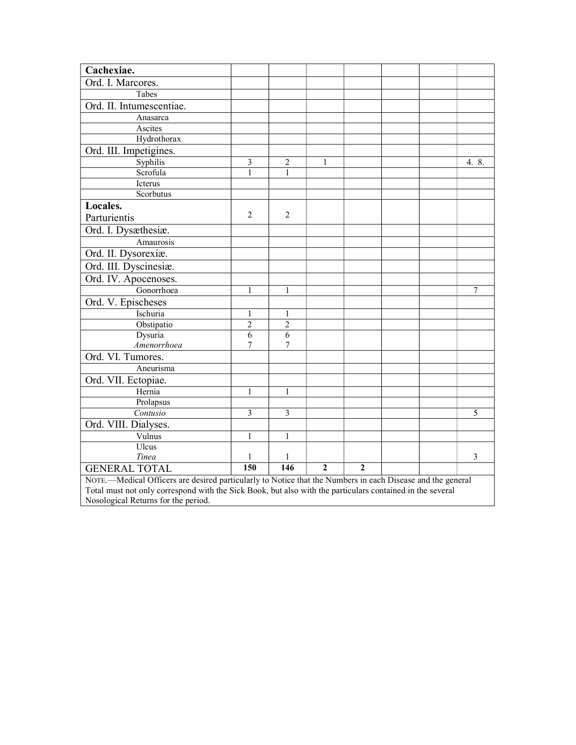| Cachexiae.                                                                                                 |                |                |                |                |  |  |                |
|------------------------------------------------------------------------------------------------------------|----------------|----------------|----------------|----------------|--|--|----------------|
| Ord. I. Marcores.                                                                                          |                |                |                |                |  |  |                |
| Tabes                                                                                                      |                |                |                |                |  |  |                |
| Ord. II. Intumescentiae.                                                                                   |                |                |                |                |  |  |                |
| Anasarca                                                                                                   |                |                |                |                |  |  |                |
| Ascites                                                                                                    |                |                |                |                |  |  |                |
| Hydrothorax                                                                                                |                |                |                |                |  |  |                |
| Ord. III. Impetigines.                                                                                     |                |                |                |                |  |  |                |
| Syphilis                                                                                                   | 3              | $\overline{2}$ | 1              |                |  |  | 4. 8.          |
| Scrofula                                                                                                   | 1              | 1              |                |                |  |  |                |
| Icterus                                                                                                    |                |                |                |                |  |  |                |
| Scorbutus                                                                                                  |                |                |                |                |  |  |                |
| Locales.                                                                                                   |                |                |                |                |  |  |                |
| Parturientis                                                                                               | 2              | $\overline{2}$ |                |                |  |  |                |
| Ord. I. Dysæthesiæ.                                                                                        |                |                |                |                |  |  |                |
| Amaurosis                                                                                                  |                |                |                |                |  |  |                |
| Ord. II. Dysorexiæ.                                                                                        |                |                |                |                |  |  |                |
| Ord. III. Dyscinesiæ.                                                                                      |                |                |                |                |  |  |                |
| Ord. IV. Apocenoses.                                                                                       |                |                |                |                |  |  |                |
| Gonorrhoea                                                                                                 | 1              | 1              |                |                |  |  | 7              |
| Ord. V. Epischeses                                                                                         |                |                |                |                |  |  |                |
| Ischuria                                                                                                   | 1              | $\mathbf{1}$   |                |                |  |  |                |
| Obstipatio                                                                                                 | $\overline{c}$ | $\overline{c}$ |                |                |  |  |                |
| Dysuria                                                                                                    | 6              | $\overline{6}$ |                |                |  |  |                |
| Amenorrhoea                                                                                                | 7              | 7              |                |                |  |  |                |
| Ord. VI. Tumores.                                                                                          |                |                |                |                |  |  |                |
| Aneurisma                                                                                                  |                |                |                |                |  |  |                |
| Ord. VII. Ectopiae.                                                                                        |                |                |                |                |  |  |                |
| Hernia                                                                                                     | $\mathbf{1}$   | $\mathbf{1}$   |                |                |  |  |                |
| Prolapsus                                                                                                  |                |                |                |                |  |  |                |
| Contusio                                                                                                   | 3              | 3              |                |                |  |  | 5              |
| Ord. VIII. Dialyses.                                                                                       |                |                |                |                |  |  |                |
| Vulnus                                                                                                     | 1              | 1              |                |                |  |  |                |
| Ulcus                                                                                                      |                |                |                |                |  |  |                |
| Tinea                                                                                                      | 1              | $\mathbf{1}$   |                |                |  |  | $\mathfrak{Z}$ |
| <b>GENERAL TOTAL</b>                                                                                       | 150            | 146            | $\overline{2}$ | $\overline{2}$ |  |  |                |
| NOTE.—Medical Officers are desired particularly to Notice that the Numbers in each Disease and the general |                |                |                |                |  |  |                |
| Total must not only correspond with the Sick Book, but also with the particulars contained in the several  |                |                |                |                |  |  |                |
| Nosological Returns for the period.                                                                        |                |                |                |                |  |  |                |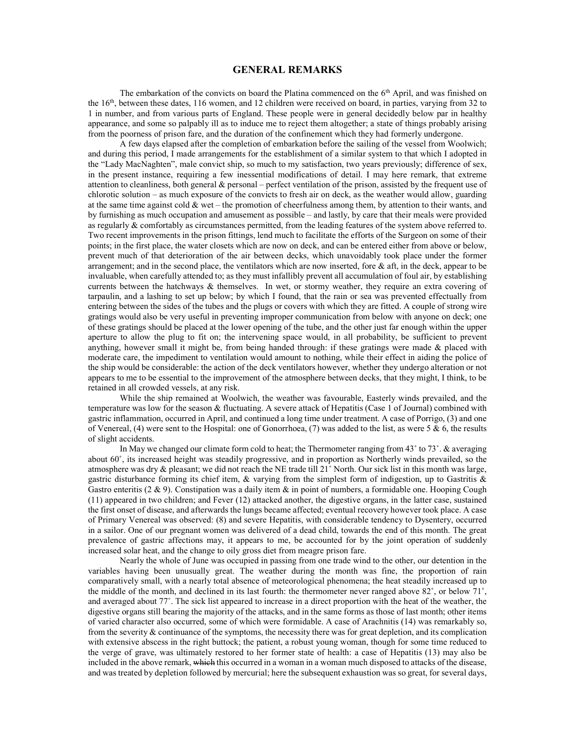## GENERAL REMARKS

The embarkation of the convicts on board the Platina commenced on the 6<sup>th</sup> April, and was finished on the 16<sup>th</sup>, between these dates, 116 women, and 12 children were received on board, in parties, varying from 32 to 1 in number, and from various parts of England. These people were in general decidedly below par in healthy appearance, and some so palpably ill as to induce me to reject them altogether; a state of things probably arising from the poorness of prison fare, and the duration of the confinement which they had formerly undergone.

A few days elapsed after the completion of embarkation before the sailing of the vessel from Woolwich; and during this period, I made arrangements for the establishment of a similar system to that which I adopted in the "Lady MacNaghten", male convict ship, so much to my satisfaction, two years previously; difference of sex, in the present instance, requiring a few inessential modifications of detail. I may here remark, that extreme attention to cleanliness, both general  $\&$  personal – perfect ventilation of the prison, assisted by the frequent use of chlorotic solution – as much exposure of the convicts to fresh air on deck, as the weather would allow, guarding at the same time against cold  $&$  wet – the promotion of cheerfulness among them, by attention to their wants, and by furnishing as much occupation and amusement as possible – and lastly, by care that their meals were provided as regularly & comfortably as circumstances permitted, from the leading features of the system above referred to. Two recent improvements in the prison fittings, lend much to facilitate the efforts of the Surgeon on some of their points; in the first place, the water closets which are now on deck, and can be entered either from above or below, prevent much of that deterioration of the air between decks, which unavoidably took place under the former arrangement; and in the second place, the ventilators which are now inserted, fore & aft, in the deck, appear to be invaluable, when carefully attended to; as they must infallibly prevent all accumulation of foul air, by establishing currents between the hatchways & themselves. In wet, or stormy weather, they require an extra covering of tarpaulin, and a lashing to set up below; by which I found, that the rain or sea was prevented effectually from entering between the sides of the tubes and the plugs or covers with which they are fitted. A couple of strong wire gratings would also be very useful in preventing improper communication from below with anyone on deck; one of these gratings should be placed at the lower opening of the tube, and the other just far enough within the upper aperture to allow the plug to fit on; the intervening space would, in all probability, be sufficient to prevent anything, however small it might be, from being handed through: if these gratings were made  $\&$  placed with moderate care, the impediment to ventilation would amount to nothing, while their effect in aiding the police of the ship would be considerable: the action of the deck ventilators however, whether they undergo alteration or not appears to me to be essential to the improvement of the atmosphere between decks, that they might, I think, to be retained in all crowded vessels, at any risk.

While the ship remained at Woolwich, the weather was favourable, Easterly winds prevailed, and the temperature was low for the season & fluctuating. A severe attack of Hepatitis (Case 1 of Journal) combined with gastric inflammation, occurred in April, and continued a long time under treatment. A case of Porrigo, (3) and one of Venereal, (4) were sent to the Hospital: one of Gonorrhoea, (7) was added to the list, as were  $5 \& 6$ , the results of slight accidents.

In May we changed our climate form cold to heat; the Thermometer ranging from 43° to 73°. & averaging about 60˚, its increased height was steadily progressive, and in proportion as Northerly winds prevailed, so the atmosphere was dry & pleasant; we did not reach the NE trade till 21˚ North. Our sick list in this month was large, gastric disturbance forming its chief item, & varying from the simplest form of indigestion, up to Gastritis & Gastro enteritis (2 & 9). Constipation was a daily item & in point of numbers, a formidable one. Hooping Cough (11) appeared in two children; and Fever (12) attacked another, the digestive organs, in the latter case, sustained the first onset of disease, and afterwards the lungs became affected; eventual recovery however took place. A case of Primary Venereal was observed: (8) and severe Hepatitis, with considerable tendency to Dysentery, occurred in a sailor. One of our pregnant women was delivered of a dead child, towards the end of this month. The great prevalence of gastric affections may, it appears to me, be accounted for by the joint operation of suddenly increased solar heat, and the change to oily gross diet from meagre prison fare.

Nearly the whole of June was occupied in passing from one trade wind to the other, our detention in the variables having been unusually great. The weather during the month was fine, the proportion of rain comparatively small, with a nearly total absence of meteorological phenomena; the heat steadily increased up to the middle of the month, and declined in its last fourth: the thermometer never ranged above 82˚, or below 71˚, and averaged about 77˚. The sick list appeared to increase in a direct proportion with the heat of the weather, the digestive organs still bearing the majority of the attacks, and in the same forms as those of last month; other items of varied character also occurred, some of which were formidable. A case of Arachnitis (14) was remarkably so, from the severity  $&$  continuance of the symptoms, the necessity there was for great depletion, and its complication with extensive abscess in the right buttock; the patient, a robust young woman, though for some time reduced to the verge of grave, was ultimately restored to her former state of health: a case of Hepatitis (13) may also be included in the above remark, which this occurred in a woman in a woman much disposed to attacks of the disease, and was treated by depletion followed by mercurial; here the subsequent exhaustion was so great, for several days,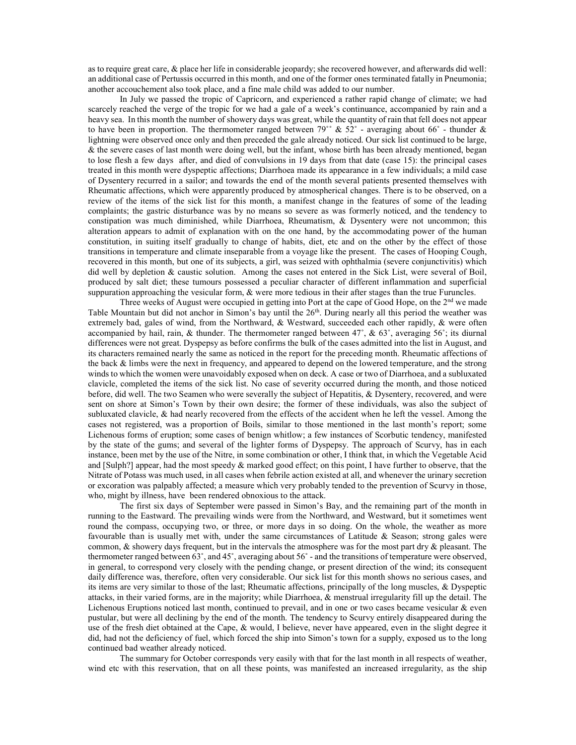as to require great care, & place her life in considerable jeopardy; she recovered however, and afterwards did well: an additional case of Pertussis occurred in this month, and one of the former ones terminated fatally in Pneumonia; another accouchement also took place, and a fine male child was added to our number.

In July we passed the tropic of Capricorn, and experienced a rather rapid change of climate; we had scarcely reached the verge of the tropic for we had a gale of a week's continuance, accompanied by rain and a heavy sea. In this month the number of showery days was great, while the quantity of rain that fell does not appear to have been in proportion. The thermometer ranged between 79°° &  $52^\circ$  - averaging about 66° - thunder & lightning were observed once only and then preceded the gale already noticed. Our sick list continued to be large, & the severe cases of last month were doing well, but the infant, whose birth has been already mentioned, began to lose flesh a few days after, and died of convulsions in 19 days from that date (case 15): the principal cases treated in this month were dyspeptic affections; Diarrhoea made its appearance in a few individuals; a mild case of Dysentery recurred in a sailor; and towards the end of the month several patients presented themselves with Rheumatic affections, which were apparently produced by atmospherical changes. There is to be observed, on a review of the items of the sick list for this month, a manifest change in the features of some of the leading complaints; the gastric disturbance was by no means so severe as was formerly noticed, and the tendency to constipation was much diminished, while Diarrhoea, Rheumatism, & Dysentery were not uncommon; this alteration appears to admit of explanation with on the one hand, by the accommodating power of the human constitution, in suiting itself gradually to change of habits, diet, etc and on the other by the effect of those transitions in temperature and climate inseparable from a voyage like the present. The cases of Hooping Cough, recovered in this month, but one of its subjects, a girl, was seized with ophthalmia (severe conjunctivitis) which did well by depletion & caustic solution. Among the cases not entered in the Sick List, were several of Boil, produced by salt diet; these tumours possessed a peculiar character of different inflammation and superficial suppuration approaching the vesicular form,  $\&$  were more tedious in their after stages than the true Furuncles.

Three weeks of August were occupied in getting into Port at the cape of Good Hope, on the  $2<sup>nd</sup>$  we made Table Mountain but did not anchor in Simon's bay until the  $26<sup>th</sup>$ . During nearly all this period the weather was extremely bad, gales of wind, from the Northward, & Westward, succeeded each other rapidly, & were often accompanied by hail, rain, & thunder. The thermometer ranged between  $47^{\circ}$ , &  $63^{\circ}$ , averaging  $56^{\circ}$ ; its diurnal differences were not great. Dyspepsy as before confirms the bulk of the cases admitted into the list in August, and its characters remained nearly the same as noticed in the report for the preceding month. Rheumatic affections of the back & limbs were the next in frequency, and appeared to depend on the lowered temperature, and the strong winds to which the women were unavoidably exposed when on deck. A case or two of Diarrhoea, and a subluxated clavicle, completed the items of the sick list. No case of severity occurred during the month, and those noticed before, did well. The two Seamen who were severally the subject of Hepatitis, & Dysentery, recovered, and were sent on shore at Simon's Town by their own desire; the former of these individuals, was also the subject of subluxated clavicle, & had nearly recovered from the effects of the accident when he left the vessel. Among the cases not registered, was a proportion of Boils, similar to those mentioned in the last month's report; some Lichenous forms of eruption; some cases of benign whitlow; a few instances of Scorbutic tendency, manifested by the state of the gums; and several of the lighter forms of Dyspepsy. The approach of Scurvy, has in each instance, been met by the use of the Nitre, in some combination or other, I think that, in which the Vegetable Acid and [Sulph?] appear, had the most speedy  $&$  marked good effect; on this point, I have further to observe, that the Nitrate of Potass was much used, in all cases when febrile action existed at all, and whenever the urinary secretion or excoration was palpably affected; a measure which very probably tended to the prevention of Scurvy in those, who, might by illness, have been rendered obnoxious to the attack.

The first six days of September were passed in Simon's Bay, and the remaining part of the month in running to the Eastward. The prevailing winds were from the Northward, and Westward, but it sometimes went round the compass, occupying two, or three, or more days in so doing. On the whole, the weather as more favourable than is usually met with, under the same circumstances of Latitude & Season; strong gales were common, & showery days frequent, but in the intervals the atmosphere was for the most part dry & pleasant. The thermometer ranged between 63˚, and 45˚, averaging about 56˚ - and the transitions of temperature were observed, in general, to correspond very closely with the pending change, or present direction of the wind; its consequent daily difference was, therefore, often very considerable. Our sick list for this month shows no serious cases, and its items are very similar to those of the last; Rheumatic affections, principally of the long muscles, & Dyspeptic attacks, in their varied forms, are in the majority; while Diarrhoea, & menstrual irregularity fill up the detail. The Lichenous Eruptions noticed last month, continued to prevail, and in one or two cases became vesicular & even pustular, but were all declining by the end of the month. The tendency to Scurvy entirely disappeared during the use of the fresh diet obtained at the Cape, & would, I believe, never have appeared, even in the slight degree it did, had not the deficiency of fuel, which forced the ship into Simon's town for a supply, exposed us to the long continued bad weather already noticed.

The summary for October corresponds very easily with that for the last month in all respects of weather, wind etc with this reservation, that on all these points, was manifested an increased irregularity, as the ship